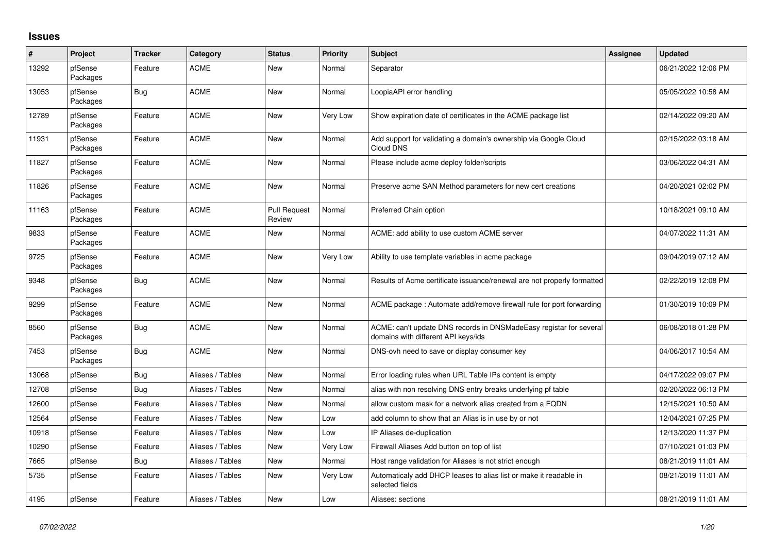## **Issues**

| #     | Project             | <b>Tracker</b> | Category         | <b>Status</b>                 | <b>Priority</b> | <b>Subject</b>                                                                                            | Assignee | <b>Updated</b>      |
|-------|---------------------|----------------|------------------|-------------------------------|-----------------|-----------------------------------------------------------------------------------------------------------|----------|---------------------|
| 13292 | pfSense<br>Packages | Feature        | <b>ACME</b>      | <b>New</b>                    | Normal          | Separator                                                                                                 |          | 06/21/2022 12:06 PM |
| 13053 | pfSense<br>Packages | Bug            | <b>ACME</b>      | <b>New</b>                    | Normal          | LoopiaAPI error handling                                                                                  |          | 05/05/2022 10:58 AM |
| 12789 | pfSense<br>Packages | Feature        | <b>ACME</b>      | <b>New</b>                    | <b>Very Low</b> | Show expiration date of certificates in the ACME package list                                             |          | 02/14/2022 09:20 AM |
| 11931 | pfSense<br>Packages | Feature        | <b>ACME</b>      | <b>New</b>                    | Normal          | Add support for validating a domain's ownership via Google Cloud<br>Cloud DNS                             |          | 02/15/2022 03:18 AM |
| 11827 | pfSense<br>Packages | Feature        | <b>ACME</b>      | <b>New</b>                    | Normal          | Please include acme deploy folder/scripts                                                                 |          | 03/06/2022 04:31 AM |
| 11826 | pfSense<br>Packages | Feature        | <b>ACME</b>      | New                           | Normal          | Preserve acme SAN Method parameters for new cert creations                                                |          | 04/20/2021 02:02 PM |
| 11163 | pfSense<br>Packages | Feature        | <b>ACME</b>      | <b>Pull Request</b><br>Review | Normal          | Preferred Chain option                                                                                    |          | 10/18/2021 09:10 AM |
| 9833  | pfSense<br>Packages | Feature        | <b>ACME</b>      | <b>New</b>                    | Normal          | ACME: add ability to use custom ACME server                                                               |          | 04/07/2022 11:31 AM |
| 9725  | pfSense<br>Packages | Feature        | <b>ACME</b>      | New                           | Very Low        | Ability to use template variables in acme package                                                         |          | 09/04/2019 07:12 AM |
| 9348  | pfSense<br>Packages | Bug            | <b>ACME</b>      | New                           | Normal          | Results of Acme certificate issuance/renewal are not properly formatted                                   |          | 02/22/2019 12:08 PM |
| 9299  | pfSense<br>Packages | Feature        | <b>ACME</b>      | <b>New</b>                    | Normal          | ACME package: Automate add/remove firewall rule for port forwarding                                       |          | 01/30/2019 10:09 PM |
| 8560  | pfSense<br>Packages | Bug            | <b>ACME</b>      | New                           | Normal          | ACME: can't update DNS records in DNSMadeEasy registar for several<br>domains with different API keys/ids |          | 06/08/2018 01:28 PM |
| 7453  | pfSense<br>Packages | Bug            | <b>ACME</b>      | New                           | Normal          | DNS-ovh need to save or display consumer key                                                              |          | 04/06/2017 10:54 AM |
| 13068 | pfSense             | Bug            | Aliases / Tables | <b>New</b>                    | Normal          | Error loading rules when URL Table IPs content is empty                                                   |          | 04/17/2022 09:07 PM |
| 12708 | pfSense             | Bug            | Aliases / Tables | <b>New</b>                    | Normal          | alias with non resolving DNS entry breaks underlying pf table                                             |          | 02/20/2022 06:13 PM |
| 12600 | pfSense             | Feature        | Aliases / Tables | New                           | Normal          | allow custom mask for a network alias created from a FQDN                                                 |          | 12/15/2021 10:50 AM |
| 12564 | pfSense             | Feature        | Aliases / Tables | <b>New</b>                    | Low             | add column to show that an Alias is in use by or not                                                      |          | 12/04/2021 07:25 PM |
| 10918 | pfSense             | Feature        | Aliases / Tables | <b>New</b>                    | Low             | IP Aliases de-duplication                                                                                 |          | 12/13/2020 11:37 PM |
| 10290 | pfSense             | Feature        | Aliases / Tables | New                           | Very Low        | Firewall Aliases Add button on top of list                                                                |          | 07/10/2021 01:03 PM |
| 7665  | pfSense             | Bug            | Aliases / Tables | <b>New</b>                    | Normal          | Host range validation for Aliases is not strict enough                                                    |          | 08/21/2019 11:01 AM |
| 5735  | pfSense             | Feature        | Aliases / Tables | New                           | Very Low        | Automaticaly add DHCP leases to alias list or make it readable in<br>selected fields                      |          | 08/21/2019 11:01 AM |
| 4195  | pfSense             | Feature        | Aliases / Tables | <b>New</b>                    | Low             | Aliases: sections                                                                                         |          | 08/21/2019 11:01 AM |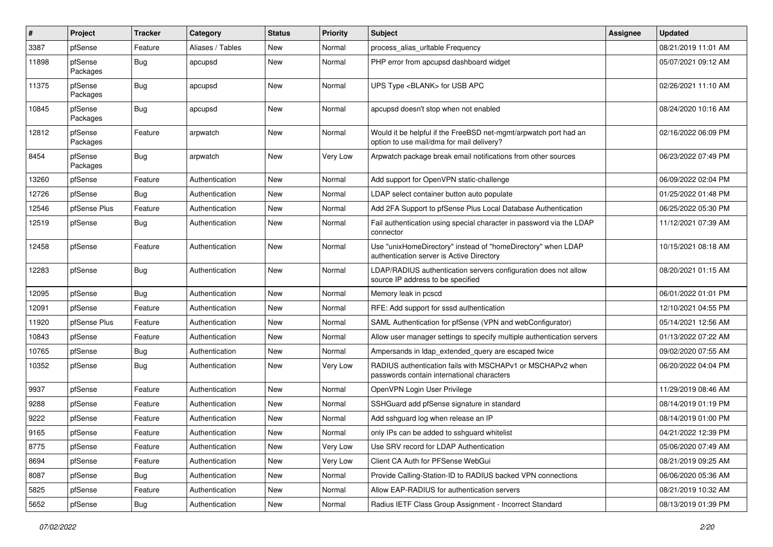| $\sharp$ | Project             | <b>Tracker</b> | Category         | <b>Status</b> | <b>Priority</b> | <b>Subject</b>                                                                                                | <b>Assignee</b> | <b>Updated</b>      |
|----------|---------------------|----------------|------------------|---------------|-----------------|---------------------------------------------------------------------------------------------------------------|-----------------|---------------------|
| 3387     | pfSense             | Feature        | Aliases / Tables | New           | Normal          | process alias urltable Frequency                                                                              |                 | 08/21/2019 11:01 AM |
| 11898    | pfSense<br>Packages | Bug            | apcupsd          | New           | Normal          | PHP error from apcupsd dashboard widget                                                                       |                 | 05/07/2021 09:12 AM |
| 11375    | pfSense<br>Packages | Bug            | apcupsd          | New           | Normal          | UPS Type <blank> for USB APC</blank>                                                                          |                 | 02/26/2021 11:10 AM |
| 10845    | pfSense<br>Packages | Bug            | apcupsd          | <b>New</b>    | Normal          | apcupsd doesn't stop when not enabled                                                                         |                 | 08/24/2020 10:16 AM |
| 12812    | pfSense<br>Packages | Feature        | arpwatch         | <b>New</b>    | Normal          | Would it be helpful if the FreeBSD net-mgmt/arpwatch port had an<br>option to use mail/dma for mail delivery? |                 | 02/16/2022 06:09 PM |
| 8454     | pfSense<br>Packages | <b>Bug</b>     | arpwatch         | New           | Very Low        | Arpwatch package break email notifications from other sources                                                 |                 | 06/23/2022 07:49 PM |
| 13260    | pfSense             | Feature        | Authentication   | <b>New</b>    | Normal          | Add support for OpenVPN static-challenge                                                                      |                 | 06/09/2022 02:04 PM |
| 12726    | pfSense             | Bug            | Authentication   | New           | Normal          | LDAP select container button auto populate                                                                    |                 | 01/25/2022 01:48 PM |
| 12546    | pfSense Plus        | Feature        | Authentication   | <b>New</b>    | Normal          | Add 2FA Support to pfSense Plus Local Database Authentication                                                 |                 | 06/25/2022 05:30 PM |
| 12519    | pfSense             | <b>Bug</b>     | Authentication   | New           | Normal          | Fail authentication using special character in password via the LDAP<br>connector                             |                 | 11/12/2021 07:39 AM |
| 12458    | pfSense             | Feature        | Authentication   | <b>New</b>    | Normal          | Use "unixHomeDirectory" instead of "homeDirectory" when LDAP<br>authentication server is Active Directory     |                 | 10/15/2021 08:18 AM |
| 12283    | pfSense             | Bug            | Authentication   | New           | Normal          | LDAP/RADIUS authentication servers configuration does not allow<br>source IP address to be specified          |                 | 08/20/2021 01:15 AM |
| 12095    | pfSense             | <b>Bug</b>     | Authentication   | <b>New</b>    | Normal          | Memory leak in pcscd                                                                                          |                 | 06/01/2022 01:01 PM |
| 12091    | pfSense             | Feature        | Authentication   | New           | Normal          | RFE: Add support for sssd authentication                                                                      |                 | 12/10/2021 04:55 PM |
| 11920    | pfSense Plus        | Feature        | Authentication   | <b>New</b>    | Normal          | SAML Authentication for pfSense (VPN and webConfigurator)                                                     |                 | 05/14/2021 12:56 AM |
| 10843    | pfSense             | Feature        | Authentication   | <b>New</b>    | Normal          | Allow user manager settings to specify multiple authentication servers                                        |                 | 01/13/2022 07:22 AM |
| 10765    | pfSense             | <b>Bug</b>     | Authentication   | New           | Normal          | Ampersands in Idap extended query are escaped twice                                                           |                 | 09/02/2020 07:55 AM |
| 10352    | pfSense             | <b>Bug</b>     | Authentication   | New           | Very Low        | RADIUS authentication fails with MSCHAPv1 or MSCHAPv2 when<br>passwords contain international characters      |                 | 06/20/2022 04:04 PM |
| 9937     | pfSense             | Feature        | Authentication   | <b>New</b>    | Normal          | OpenVPN Login User Privilege                                                                                  |                 | 11/29/2019 08:46 AM |
| 9288     | pfSense             | Feature        | Authentication   | New           | Normal          | SSHGuard add pfSense signature in standard                                                                    |                 | 08/14/2019 01:19 PM |
| 9222     | pfSense             | Feature        | Authentication   | New           | Normal          | Add sshguard log when release an IP                                                                           |                 | 08/14/2019 01:00 PM |
| 9165     | pfSense             | Feature        | Authentication   | New           | Normal          | only IPs can be added to sshquard whitelist                                                                   |                 | 04/21/2022 12:39 PM |
| 8775     | pfSense             | Feature        | Authentication   | New           | Very Low        | Use SRV record for LDAP Authentication                                                                        |                 | 05/06/2020 07:49 AM |
| 8694     | pfSense             | Feature        | Authentication   | New           | Very Low        | Client CA Auth for PFSense WebGui                                                                             |                 | 08/21/2019 09:25 AM |
| 8087     | pfSense             | Bug            | Authentication   | New           | Normal          | Provide Calling-Station-ID to RADIUS backed VPN connections                                                   |                 | 06/06/2020 05:36 AM |
| 5825     | pfSense             | Feature        | Authentication   | New           | Normal          | Allow EAP-RADIUS for authentication servers                                                                   |                 | 08/21/2019 10:32 AM |
| 5652     | pfSense             | Bug            | Authentication   | New           | Normal          | Radius IETF Class Group Assignment - Incorrect Standard                                                       |                 | 08/13/2019 01:39 PM |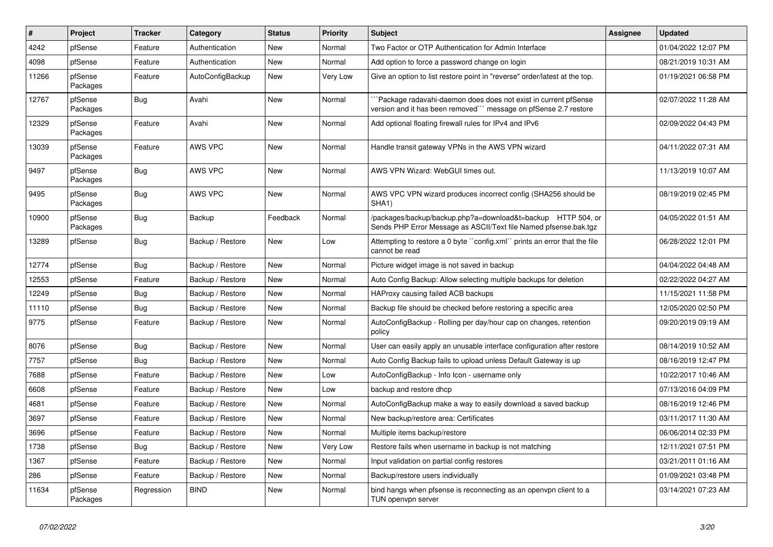| $\vert$ # | Project             | <b>Tracker</b> | Category         | <b>Status</b> | Priority | <b>Subject</b>                                                                                                                      | Assignee | <b>Updated</b>      |
|-----------|---------------------|----------------|------------------|---------------|----------|-------------------------------------------------------------------------------------------------------------------------------------|----------|---------------------|
| 4242      | pfSense             | Feature        | Authentication   | New           | Normal   | Two Factor or OTP Authentication for Admin Interface                                                                                |          | 01/04/2022 12:07 PM |
| 4098      | pfSense             | Feature        | Authentication   | <b>New</b>    | Normal   | Add option to force a password change on login                                                                                      |          | 08/21/2019 10:31 AM |
| 11266     | pfSense<br>Packages | Feature        | AutoConfigBackup | New           | Very Low | Give an option to list restore point in "reverse" order/latest at the top.                                                          |          | 01/19/2021 06:58 PM |
| 12767     | pfSense<br>Packages | <b>Bug</b>     | Avahi            | <b>New</b>    | Normal   | Package radavahi-daemon does does not exist in current pfSense<br>version and it has been removed``` message on pfSense 2.7 restore |          | 02/07/2022 11:28 AM |
| 12329     | pfSense<br>Packages | Feature        | Avahi            | New           | Normal   | Add optional floating firewall rules for IPv4 and IPv6                                                                              |          | 02/09/2022 04:43 PM |
| 13039     | pfSense<br>Packages | Feature        | AWS VPC          | <b>New</b>    | Normal   | Handle transit gateway VPNs in the AWS VPN wizard                                                                                   |          | 04/11/2022 07:31 AM |
| 9497      | pfSense<br>Packages | Bug            | AWS VPC          | New           | Normal   | AWS VPN Wizard: WebGUI times out.                                                                                                   |          | 11/13/2019 10:07 AM |
| 9495      | pfSense<br>Packages | Bug            | AWS VPC          | New           | Normal   | AWS VPC VPN wizard produces incorrect config (SHA256 should be<br>SHA <sub>1</sub> )                                                |          | 08/19/2019 02:45 PM |
| 10900     | pfSense<br>Packages | <b>Bug</b>     | Backup           | Feedback      | Normal   | /packages/backup/backup.php?a=download&t=backup HTTP 504, or<br>Sends PHP Error Message as ASCII/Text file Named pfsense.bak.tgz    |          | 04/05/2022 01:51 AM |
| 13289     | pfSense             | Bug            | Backup / Restore | New           | Low      | Attempting to restore a 0 byte "config.xml" prints an error that the file<br>cannot be read                                         |          | 06/28/2022 12:01 PM |
| 12774     | pfSense             | <b>Bug</b>     | Backup / Restore | <b>New</b>    | Normal   | Picture widget image is not saved in backup                                                                                         |          | 04/04/2022 04:48 AM |
| 12553     | pfSense             | Feature        | Backup / Restore | New           | Normal   | Auto Config Backup: Allow selecting multiple backups for deletion                                                                   |          | 02/22/2022 04:27 AM |
| 12249     | pfSense             | Bug            | Backup / Restore | New           | Normal   | HAProxy causing failed ACB backups                                                                                                  |          | 11/15/2021 11:58 PM |
| 11110     | pfSense             | Bug            | Backup / Restore | New           | Normal   | Backup file should be checked before restoring a specific area                                                                      |          | 12/05/2020 02:50 PM |
| 9775      | pfSense             | Feature        | Backup / Restore | <b>New</b>    | Normal   | AutoConfigBackup - Rolling per day/hour cap on changes, retention<br>policy                                                         |          | 09/20/2019 09:19 AM |
| 8076      | pfSense             | Bug            | Backup / Restore | <b>New</b>    | Normal   | User can easily apply an unusable interface configuration after restore                                                             |          | 08/14/2019 10:52 AM |
| 7757      | pfSense             | Bug            | Backup / Restore | <b>New</b>    | Normal   | Auto Config Backup fails to upload unless Default Gateway is up                                                                     |          | 08/16/2019 12:47 PM |
| 7688      | pfSense             | Feature        | Backup / Restore | <b>New</b>    | Low      | AutoConfigBackup - Info Icon - username only                                                                                        |          | 10/22/2017 10:46 AM |
| 6608      | pfSense             | Feature        | Backup / Restore | <b>New</b>    | Low      | backup and restore dhcp                                                                                                             |          | 07/13/2016 04:09 PM |
| 4681      | pfSense             | Feature        | Backup / Restore | <b>New</b>    | Normal   | AutoConfigBackup make a way to easily download a saved backup                                                                       |          | 08/16/2019 12:46 PM |
| 3697      | pfSense             | Feature        | Backup / Restore | New           | Normal   | New backup/restore area: Certificates                                                                                               |          | 03/11/2017 11:30 AM |
| 3696      | pfSense             | Feature        | Backup / Restore | <b>New</b>    | Normal   | Multiple items backup/restore                                                                                                       |          | 06/06/2014 02:33 PM |
| 1738      | pfSense             | Bug            | Backup / Restore | <b>New</b>    | Very Low | Restore fails when username in backup is not matching                                                                               |          | 12/11/2021 07:51 PM |
| 1367      | pfSense             | Feature        | Backup / Restore | New           | Normal   | Input validation on partial config restores                                                                                         |          | 03/21/2011 01:16 AM |
| 286       | pfSense             | Feature        | Backup / Restore | New           | Normal   | Backup/restore users individually                                                                                                   |          | 01/09/2021 03:48 PM |
| 11634     | pfSense<br>Packages | Regression     | <b>BIND</b>      | <b>New</b>    | Normal   | bind hangs when pfsense is reconnecting as an openypn client to a<br>TUN openvpn server                                             |          | 03/14/2021 07:23 AM |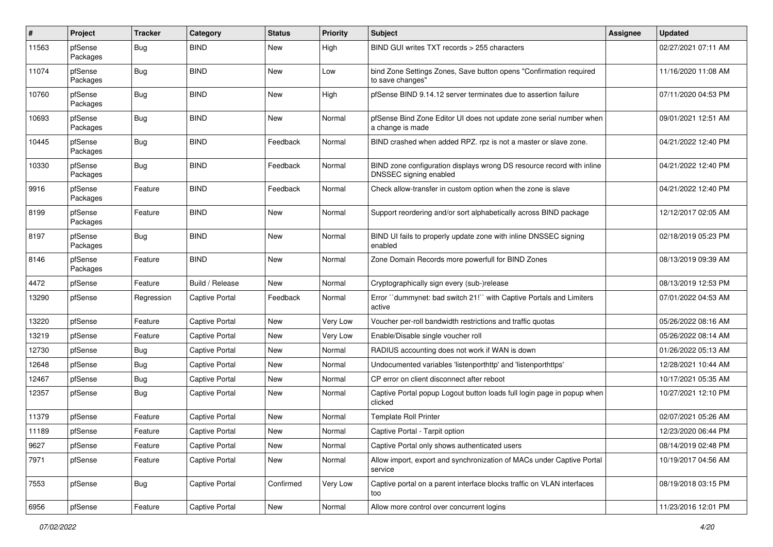| #     | Project             | <b>Tracker</b> | Category        | <b>Status</b> | <b>Priority</b> | <b>Subject</b>                                                                                  | <b>Assignee</b> | <b>Updated</b>      |
|-------|---------------------|----------------|-----------------|---------------|-----------------|-------------------------------------------------------------------------------------------------|-----------------|---------------------|
| 11563 | pfSense<br>Packages | <b>Bug</b>     | <b>BIND</b>     | New           | High            | BIND GUI writes TXT records > 255 characters                                                    |                 | 02/27/2021 07:11 AM |
| 11074 | pfSense<br>Packages | Bug            | <b>BIND</b>     | New           | Low             | bind Zone Settings Zones, Save button opens "Confirmation required<br>to save changes"          |                 | 11/16/2020 11:08 AM |
| 10760 | pfSense<br>Packages | Bug            | <b>BIND</b>     | <b>New</b>    | High            | pfSense BIND 9.14.12 server terminates due to assertion failure                                 |                 | 07/11/2020 04:53 PM |
| 10693 | pfSense<br>Packages | <b>Bug</b>     | <b>BIND</b>     | New           | Normal          | pfSense Bind Zone Editor UI does not update zone serial number when<br>a change is made         |                 | 09/01/2021 12:51 AM |
| 10445 | pfSense<br>Packages | Bug            | <b>BIND</b>     | Feedback      | Normal          | BIND crashed when added RPZ. rpz is not a master or slave zone.                                 |                 | 04/21/2022 12:40 PM |
| 10330 | pfSense<br>Packages | Bug            | <b>BIND</b>     | Feedback      | Normal          | BIND zone configuration displays wrong DS resource record with inline<br>DNSSEC signing enabled |                 | 04/21/2022 12:40 PM |
| 9916  | pfSense<br>Packages | Feature        | <b>BIND</b>     | Feedback      | Normal          | Check allow-transfer in custom option when the zone is slave                                    |                 | 04/21/2022 12:40 PM |
| 8199  | pfSense<br>Packages | Feature        | <b>BIND</b>     | New           | Normal          | Support reordering and/or sort alphabetically across BIND package                               |                 | 12/12/2017 02:05 AM |
| 8197  | pfSense<br>Packages | Bug            | <b>BIND</b>     | <b>New</b>    | Normal          | BIND UI fails to properly update zone with inline DNSSEC signing<br>enabled                     |                 | 02/18/2019 05:23 PM |
| 8146  | pfSense<br>Packages | Feature        | <b>BIND</b>     | <b>New</b>    | Normal          | Zone Domain Records more powerfull for BIND Zones                                               |                 | 08/13/2019 09:39 AM |
| 4472  | pfSense             | Feature        | Build / Release | <b>New</b>    | Normal          | Cryptographically sign every (sub-)release                                                      |                 | 08/13/2019 12:53 PM |
| 13290 | pfSense             | Regression     | Captive Portal  | Feedback      | Normal          | Error "dummynet: bad switch 21!" with Captive Portals and Limiters<br>active                    |                 | 07/01/2022 04:53 AM |
| 13220 | pfSense             | Feature        | Captive Portal  | <b>New</b>    | Very Low        | Voucher per-roll bandwidth restrictions and traffic quotas                                      |                 | 05/26/2022 08:16 AM |
| 13219 | pfSense             | Feature        | Captive Portal  | <b>New</b>    | Very Low        | Enable/Disable single voucher roll                                                              |                 | 05/26/2022 08:14 AM |
| 12730 | pfSense             | Bug            | Captive Portal  | New           | Normal          | RADIUS accounting does not work if WAN is down                                                  |                 | 01/26/2022 05:13 AM |
| 12648 | pfSense             | Bug            | Captive Portal  | <b>New</b>    | Normal          | Undocumented variables 'listenporthttp' and 'listenporthttps'                                   |                 | 12/28/2021 10:44 AM |
| 12467 | pfSense             | Bug            | Captive Portal  | <b>New</b>    | Normal          | CP error on client disconnect after reboot                                                      |                 | 10/17/2021 05:35 AM |
| 12357 | pfSense             | <b>Bug</b>     | Captive Portal  | New           | Normal          | Captive Portal popup Logout button loads full login page in popup when<br>clicked               |                 | 10/27/2021 12:10 PM |
| 11379 | pfSense             | Feature        | Captive Portal  | New           | Normal          | <b>Template Roll Printer</b>                                                                    |                 | 02/07/2021 05:26 AM |
| 11189 | pfSense             | Feature        | Captive Portal  | <b>New</b>    | Normal          | Captive Portal - Tarpit option                                                                  |                 | 12/23/2020 06:44 PM |
| 9627  | pfSense             | Feature        | Captive Portal  | <b>New</b>    | Normal          | Captive Portal only shows authenticated users                                                   |                 | 08/14/2019 02:48 PM |
| 7971  | pfSense             | Feature        | Captive Portal  | New           | Normal          | Allow import, export and synchronization of MACs under Captive Portal<br>service                |                 | 10/19/2017 04:56 AM |
| 7553  | pfSense             | <b>Bug</b>     | Captive Portal  | Confirmed     | Very Low        | Captive portal on a parent interface blocks traffic on VLAN interfaces<br>too                   |                 | 08/19/2018 03:15 PM |
| 6956  | pfSense             | Feature        | Captive Portal  | New           | Normal          | Allow more control over concurrent logins                                                       |                 | 11/23/2016 12:01 PM |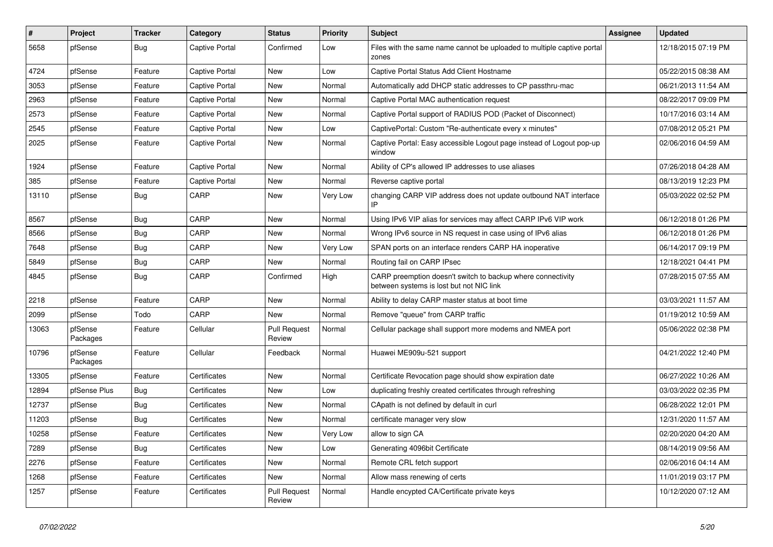| #     | Project             | <b>Tracker</b> | Category              | <b>Status</b>                 | <b>Priority</b> | <b>Subject</b>                                                                                          | <b>Assignee</b> | <b>Updated</b>      |
|-------|---------------------|----------------|-----------------------|-------------------------------|-----------------|---------------------------------------------------------------------------------------------------------|-----------------|---------------------|
| 5658  | pfSense             | <b>Bug</b>     | Captive Portal        | Confirmed                     | Low             | Files with the same name cannot be uploaded to multiple captive portal<br>zones                         |                 | 12/18/2015 07:19 PM |
| 4724  | pfSense             | Feature        | Captive Portal        | New                           | Low             | Captive Portal Status Add Client Hostname                                                               |                 | 05/22/2015 08:38 AM |
| 3053  | pfSense             | Feature        | <b>Captive Portal</b> | New                           | Normal          | Automatically add DHCP static addresses to CP passthru-mac                                              |                 | 06/21/2013 11:54 AM |
| 2963  | pfSense             | Feature        | Captive Portal        | New                           | Normal          | Captive Portal MAC authentication request                                                               |                 | 08/22/2017 09:09 PM |
| 2573  | pfSense             | Feature        | Captive Portal        | New                           | Normal          | Captive Portal support of RADIUS POD (Packet of Disconnect)                                             |                 | 10/17/2016 03:14 AM |
| 2545  | pfSense             | Feature        | Captive Portal        | New                           | Low             | CaptivePortal: Custom "Re-authenticate every x minutes"                                                 |                 | 07/08/2012 05:21 PM |
| 2025  | pfSense             | Feature        | Captive Portal        | New                           | Normal          | Captive Portal: Easy accessible Logout page instead of Logout pop-up<br>window                          |                 | 02/06/2016 04:59 AM |
| 1924  | pfSense             | Feature        | Captive Portal        | New                           | Normal          | Ability of CP's allowed IP addresses to use aliases                                                     |                 | 07/26/2018 04:28 AM |
| 385   | pfSense             | Feature        | Captive Portal        | New                           | Normal          | Reverse captive portal                                                                                  |                 | 08/13/2019 12:23 PM |
| 13110 | pfSense             | <b>Bug</b>     | CARP                  | New                           | Very Low        | changing CARP VIP address does not update outbound NAT interface<br>IP                                  |                 | 05/03/2022 02:52 PM |
| 8567  | pfSense             | <b>Bug</b>     | CARP                  | New                           | Normal          | Using IPv6 VIP alias for services may affect CARP IPv6 VIP work                                         |                 | 06/12/2018 01:26 PM |
| 8566  | pfSense             | <b>Bug</b>     | CARP                  | New                           | Normal          | Wrong IPv6 source in NS request in case using of IPv6 alias                                             |                 | 06/12/2018 01:26 PM |
| 7648  | pfSense             | Bug            | CARP                  | New                           | Very Low        | SPAN ports on an interface renders CARP HA inoperative                                                  |                 | 06/14/2017 09:19 PM |
| 5849  | pfSense             | <b>Bug</b>     | CARP                  | New                           | Normal          | Routing fail on CARP IPsec                                                                              |                 | 12/18/2021 04:41 PM |
| 4845  | pfSense             | <b>Bug</b>     | CARP                  | Confirmed                     | High            | CARP preemption doesn't switch to backup where connectivity<br>between systems is lost but not NIC link |                 | 07/28/2015 07:55 AM |
| 2218  | pfSense             | Feature        | CARP                  | <b>New</b>                    | Normal          | Ability to delay CARP master status at boot time                                                        |                 | 03/03/2021 11:57 AM |
| 2099  | pfSense             | Todo           | CARP                  | New                           | Normal          | Remove "queue" from CARP traffic                                                                        |                 | 01/19/2012 10:59 AM |
| 13063 | pfSense<br>Packages | Feature        | Cellular              | <b>Pull Request</b><br>Review | Normal          | Cellular package shall support more modems and NMEA port                                                |                 | 05/06/2022 02:38 PM |
| 10796 | pfSense<br>Packages | Feature        | Cellular              | Feedback                      | Normal          | Huawei ME909u-521 support                                                                               |                 | 04/21/2022 12:40 PM |
| 13305 | pfSense             | Feature        | Certificates          | New                           | Normal          | Certificate Revocation page should show expiration date                                                 |                 | 06/27/2022 10:26 AM |
| 12894 | pfSense Plus        | Bug            | Certificates          | New                           | Low             | duplicating freshly created certificates through refreshing                                             |                 | 03/03/2022 02:35 PM |
| 12737 | pfSense             | Bug            | Certificates          | New                           | Normal          | CApath is not defined by default in curl                                                                |                 | 06/28/2022 12:01 PM |
| 11203 | pfSense             | Bug            | Certificates          | New                           | Normal          | certificate manager very slow                                                                           |                 | 12/31/2020 11:57 AM |
| 10258 | pfSense             | Feature        | Certificates          | New                           | Very Low        | allow to sign CA                                                                                        |                 | 02/20/2020 04:20 AM |
| 7289  | pfSense             | <b>Bug</b>     | Certificates          | New                           | Low             | Generating 4096bit Certificate                                                                          |                 | 08/14/2019 09:56 AM |
| 2276  | pfSense             | Feature        | Certificates          | New                           | Normal          | Remote CRL fetch support                                                                                |                 | 02/06/2016 04:14 AM |
| 1268  | pfSense             | Feature        | Certificates          | New                           | Normal          | Allow mass renewing of certs                                                                            |                 | 11/01/2019 03:17 PM |
| 1257  | pfSense             | Feature        | Certificates          | <b>Pull Request</b><br>Review | Normal          | Handle encypted CA/Certificate private keys                                                             |                 | 10/12/2020 07:12 AM |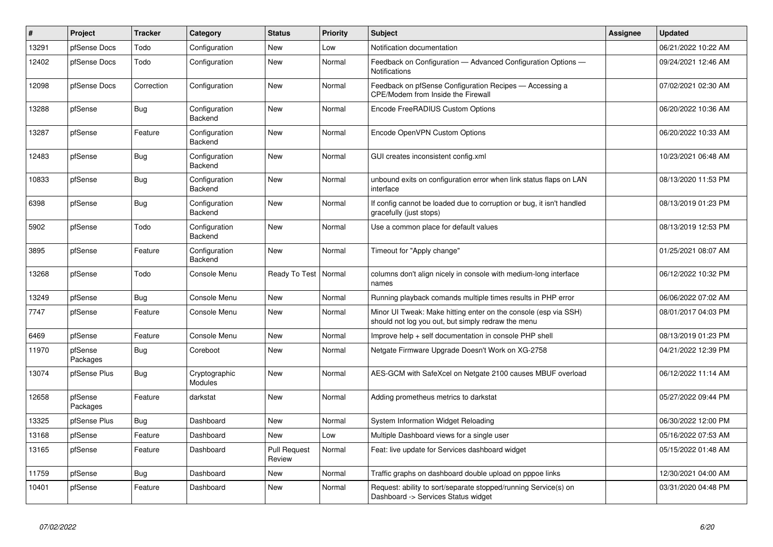| #     | Project             | <b>Tracker</b> | Category                 | <b>Status</b>                 | <b>Priority</b> | <b>Subject</b>                                                                                                        | Assignee | <b>Updated</b>      |
|-------|---------------------|----------------|--------------------------|-------------------------------|-----------------|-----------------------------------------------------------------------------------------------------------------------|----------|---------------------|
| 13291 | pfSense Docs        | Todo           | Configuration            | <b>New</b>                    | Low             | Notification documentation                                                                                            |          | 06/21/2022 10:22 AM |
| 12402 | pfSense Docs        | Todo           | Configuration            | New                           | Normal          | Feedback on Configuration - Advanced Configuration Options -<br>Notifications                                         |          | 09/24/2021 12:46 AM |
| 12098 | pfSense Docs        | Correction     | Configuration            | New                           | Normal          | Feedback on pfSense Configuration Recipes - Accessing a<br>CPE/Modem from Inside the Firewall                         |          | 07/02/2021 02:30 AM |
| 13288 | pfSense             | <b>Bug</b>     | Configuration<br>Backend | <b>New</b>                    | Normal          | Encode FreeRADIUS Custom Options                                                                                      |          | 06/20/2022 10:36 AM |
| 13287 | pfSense             | Feature        | Configuration<br>Backend | <b>New</b>                    | Normal          | Encode OpenVPN Custom Options                                                                                         |          | 06/20/2022 10:33 AM |
| 12483 | pfSense             | Bug            | Configuration<br>Backend | <b>New</b>                    | Normal          | GUI creates inconsistent config.xml                                                                                   |          | 10/23/2021 06:48 AM |
| 10833 | pfSense             | Bug            | Configuration<br>Backend | New                           | Normal          | unbound exits on configuration error when link status flaps on LAN<br>interface                                       |          | 08/13/2020 11:53 PM |
| 6398  | pfSense             | Bug            | Configuration<br>Backend | <b>New</b>                    | Normal          | If config cannot be loaded due to corruption or bug, it isn't handled<br>gracefully (just stops)                      |          | 08/13/2019 01:23 PM |
| 5902  | pfSense             | Todo           | Configuration<br>Backend | <b>New</b>                    | Normal          | Use a common place for default values                                                                                 |          | 08/13/2019 12:53 PM |
| 3895  | pfSense             | Feature        | Configuration<br>Backend | New                           | Normal          | Timeout for "Apply change"                                                                                            |          | 01/25/2021 08:07 AM |
| 13268 | pfSense             | Todo           | Console Menu             | Ready To Test                 | Normal          | columns don't align nicely in console with medium-long interface<br>names                                             |          | 06/12/2022 10:32 PM |
| 13249 | pfSense             | <b>Bug</b>     | Console Menu             | <b>New</b>                    | Normal          | Running playback comands multiple times results in PHP error                                                          |          | 06/06/2022 07:02 AM |
| 7747  | pfSense             | Feature        | Console Menu             | <b>New</b>                    | Normal          | Minor UI Tweak: Make hitting enter on the console (esp via SSH)<br>should not log you out, but simply redraw the menu |          | 08/01/2017 04:03 PM |
| 6469  | pfSense             | Feature        | Console Menu             | <b>New</b>                    | Normal          | Improve help + self documentation in console PHP shell                                                                |          | 08/13/2019 01:23 PM |
| 11970 | pfSense<br>Packages | <b>Bug</b>     | Coreboot                 | <b>New</b>                    | Normal          | Netgate Firmware Upgrade Doesn't Work on XG-2758                                                                      |          | 04/21/2022 12:39 PM |
| 13074 | pfSense Plus        | Bug            | Cryptographic<br>Modules | <b>New</b>                    | Normal          | AES-GCM with SafeXcel on Netgate 2100 causes MBUF overload                                                            |          | 06/12/2022 11:14 AM |
| 12658 | pfSense<br>Packages | Feature        | darkstat                 | New                           | Normal          | Adding prometheus metrics to darkstat                                                                                 |          | 05/27/2022 09:44 PM |
| 13325 | pfSense Plus        | Bug            | Dashboard                | <b>New</b>                    | Normal          | System Information Widget Reloading                                                                                   |          | 06/30/2022 12:00 PM |
| 13168 | pfSense             | Feature        | Dashboard                | New                           | Low             | Multiple Dashboard views for a single user                                                                            |          | 05/16/2022 07:53 AM |
| 13165 | pfSense             | Feature        | Dashboard                | <b>Pull Request</b><br>Review | Normal          | Feat: live update for Services dashboard widget                                                                       |          | 05/15/2022 01:48 AM |
| 11759 | pfSense             | <b>Bug</b>     | Dashboard                | <b>New</b>                    | Normal          | Traffic graphs on dashboard double upload on pppoe links                                                              |          | 12/30/2021 04:00 AM |
| 10401 | pfSense             | Feature        | Dashboard                | <b>New</b>                    | Normal          | Request: ability to sort/separate stopped/running Service(s) on<br>Dashboard -> Services Status widget                |          | 03/31/2020 04:48 PM |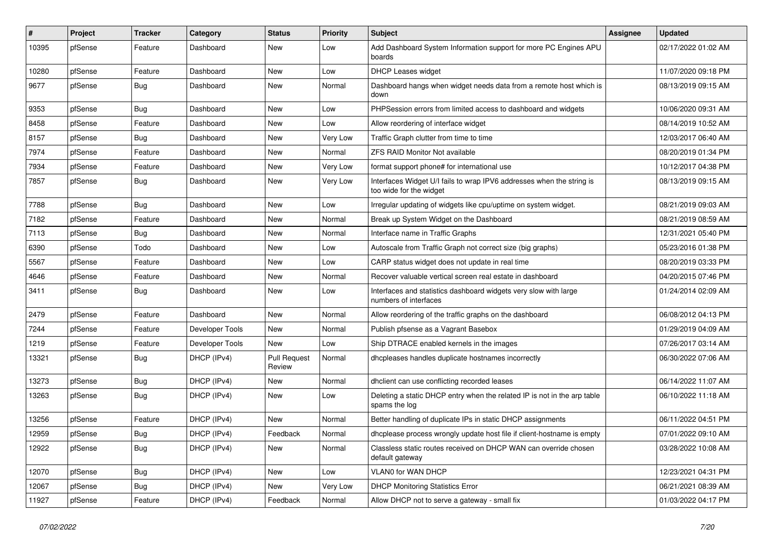| $\sharp$ | Project | <b>Tracker</b> | Category        | <b>Status</b>                 | <b>Priority</b> | <b>Subject</b>                                                                                   | <b>Assignee</b> | <b>Updated</b>      |
|----------|---------|----------------|-----------------|-------------------------------|-----------------|--------------------------------------------------------------------------------------------------|-----------------|---------------------|
| 10395    | pfSense | Feature        | Dashboard       | New                           | Low             | Add Dashboard System Information support for more PC Engines APU<br>boards                       |                 | 02/17/2022 01:02 AM |
| 10280    | pfSense | Feature        | Dashboard       | New                           | Low             | <b>DHCP Leases widget</b>                                                                        |                 | 11/07/2020 09:18 PM |
| 9677     | pfSense | <b>Bug</b>     | Dashboard       | New                           | Normal          | Dashboard hangs when widget needs data from a remote host which is<br>down                       |                 | 08/13/2019 09:15 AM |
| 9353     | pfSense | <b>Bug</b>     | Dashboard       | New                           | Low             | PHPSession errors from limited access to dashboard and widgets                                   |                 | 10/06/2020 09:31 AM |
| 8458     | pfSense | Feature        | Dashboard       | New                           | Low             | Allow reordering of interface widget                                                             |                 | 08/14/2019 10:52 AM |
| 8157     | pfSense | Bug            | Dashboard       | New                           | Very Low        | Traffic Graph clutter from time to time                                                          |                 | 12/03/2017 06:40 AM |
| 7974     | pfSense | Feature        | Dashboard       | New                           | Normal          | <b>ZFS RAID Monitor Not available</b>                                                            |                 | 08/20/2019 01:34 PM |
| 7934     | pfSense | Feature        | Dashboard       | New                           | Very Low        | format support phone# for international use                                                      |                 | 10/12/2017 04:38 PM |
| 7857     | pfSense | <b>Bug</b>     | Dashboard       | <b>New</b>                    | Very Low        | Interfaces Widget U/I fails to wrap IPV6 addresses when the string is<br>too wide for the widget |                 | 08/13/2019 09:15 AM |
| 7788     | pfSense | <b>Bug</b>     | Dashboard       | New                           | Low             | Irregular updating of widgets like cpu/uptime on system widget.                                  |                 | 08/21/2019 09:03 AM |
| 7182     | pfSense | Feature        | Dashboard       | New                           | Normal          | Break up System Widget on the Dashboard                                                          |                 | 08/21/2019 08:59 AM |
| 7113     | pfSense | Bug            | Dashboard       | <b>New</b>                    | Normal          | Interface name in Traffic Graphs                                                                 |                 | 12/31/2021 05:40 PM |
| 6390     | pfSense | Todo           | Dashboard       | New                           | Low             | Autoscale from Traffic Graph not correct size (big graphs)                                       |                 | 05/23/2016 01:38 PM |
| 5567     | pfSense | Feature        | Dashboard       | New                           | Low             | CARP status widget does not update in real time                                                  |                 | 08/20/2019 03:33 PM |
| 4646     | pfSense | Feature        | Dashboard       | New                           | Normal          | Recover valuable vertical screen real estate in dashboard                                        |                 | 04/20/2015 07:46 PM |
| 3411     | pfSense | Bug            | Dashboard       | New                           | Low             | Interfaces and statistics dashboard widgets very slow with large<br>numbers of interfaces        |                 | 01/24/2014 02:09 AM |
| 2479     | pfSense | Feature        | Dashboard       | New                           | Normal          | Allow reordering of the traffic graphs on the dashboard                                          |                 | 06/08/2012 04:13 PM |
| 7244     | pfSense | Feature        | Developer Tools | New                           | Normal          | Publish pfsense as a Vagrant Basebox                                                             |                 | 01/29/2019 04:09 AM |
| 1219     | pfSense | Feature        | Developer Tools | New                           | Low             | Ship DTRACE enabled kernels in the images                                                        |                 | 07/26/2017 03:14 AM |
| 13321    | pfSense | <b>Bug</b>     | DHCP (IPv4)     | <b>Pull Request</b><br>Review | Normal          | dhcpleases handles duplicate hostnames incorrectly                                               |                 | 06/30/2022 07:06 AM |
| 13273    | pfSense | Bug            | DHCP (IPv4)     | New                           | Normal          | dhclient can use conflicting recorded leases                                                     |                 | 06/14/2022 11:07 AM |
| 13263    | pfSense | <b>Bug</b>     | DHCP (IPv4)     | New                           | Low             | Deleting a static DHCP entry when the related IP is not in the arp table<br>spams the log        |                 | 06/10/2022 11:18 AM |
| 13256    | pfSense | Feature        | DHCP (IPv4)     | New                           | Normal          | Better handling of duplicate IPs in static DHCP assignments                                      |                 | 06/11/2022 04:51 PM |
| 12959    | pfSense | Bug            | DHCP (IPv4)     | Feedback                      | Normal          | dhcplease process wrongly update host file if client-hostname is empty                           |                 | 07/01/2022 09:10 AM |
| 12922    | pfSense | Bug            | DHCP (IPv4)     | New                           | Normal          | Classless static routes received on DHCP WAN can override chosen<br>default gateway              |                 | 03/28/2022 10:08 AM |
| 12070    | pfSense | Bug            | DHCP (IPv4)     | New                           | Low             | VLAN0 for WAN DHCP                                                                               |                 | 12/23/2021 04:31 PM |
| 12067    | pfSense | <b>Bug</b>     | DHCP (IPv4)     | New                           | Very Low        | <b>DHCP Monitoring Statistics Error</b>                                                          |                 | 06/21/2021 08:39 AM |
| 11927    | pfSense | Feature        | DHCP (IPv4)     | Feedback                      | Normal          | Allow DHCP not to serve a gateway - small fix                                                    |                 | 01/03/2022 04:17 PM |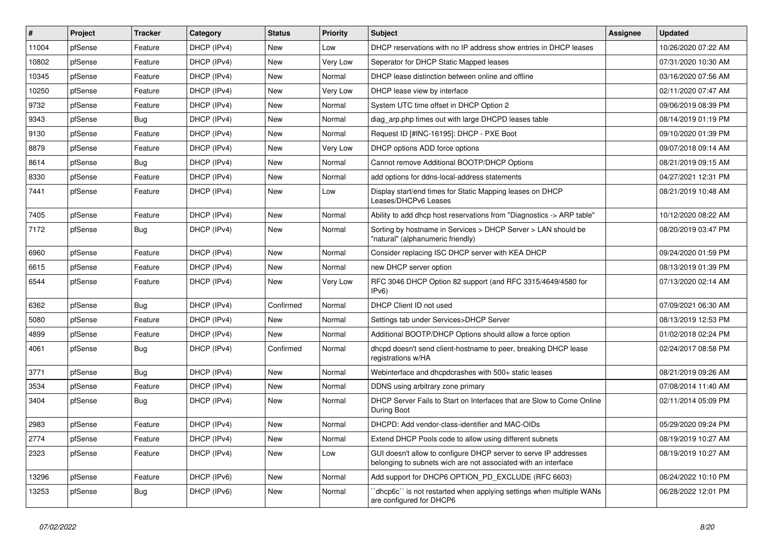| $\vert$ # | Project | <b>Tracker</b> | Category    | <b>Status</b> | <b>Priority</b> | Subject                                                                                                                            | <b>Assignee</b> | <b>Updated</b>      |
|-----------|---------|----------------|-------------|---------------|-----------------|------------------------------------------------------------------------------------------------------------------------------------|-----------------|---------------------|
| 11004     | pfSense | Feature        | DHCP (IPv4) | New           | Low             | DHCP reservations with no IP address show entries in DHCP leases                                                                   |                 | 10/26/2020 07:22 AM |
| 10802     | pfSense | Feature        | DHCP (IPv4) | <b>New</b>    | Very Low        | Seperator for DHCP Static Mapped leases                                                                                            |                 | 07/31/2020 10:30 AM |
| 10345     | pfSense | Feature        | DHCP (IPv4) | New           | Normal          | DHCP lease distinction between online and offline                                                                                  |                 | 03/16/2020 07:56 AM |
| 10250     | pfSense | Feature        | DHCP (IPv4) | <b>New</b>    | Very Low        | DHCP lease view by interface                                                                                                       |                 | 02/11/2020 07:47 AM |
| 9732      | pfSense | Feature        | DHCP (IPv4) | <b>New</b>    | Normal          | System UTC time offset in DHCP Option 2                                                                                            |                 | 09/06/2019 08:39 PM |
| 9343      | pfSense | Bug            | DHCP (IPv4) | New           | Normal          | diag arp.php times out with large DHCPD leases table                                                                               |                 | 08/14/2019 01:19 PM |
| 9130      | pfSense | Feature        | DHCP (IPv4) | <b>New</b>    | Normal          | Request ID [#INC-16195]: DHCP - PXE Boot                                                                                           |                 | 09/10/2020 01:39 PM |
| 8879      | pfSense | Feature        | DHCP (IPv4) | New           | Very Low        | DHCP options ADD force options                                                                                                     |                 | 09/07/2018 09:14 AM |
| 8614      | pfSense | <b>Bug</b>     | DHCP (IPv4) | New           | Normal          | Cannot remove Additional BOOTP/DHCP Options                                                                                        |                 | 08/21/2019 09:15 AM |
| 8330      | pfSense | Feature        | DHCP (IPv4) | <b>New</b>    | Normal          | add options for ddns-local-address statements                                                                                      |                 | 04/27/2021 12:31 PM |
| 7441      | pfSense | Feature        | DHCP (IPv4) | New           | Low             | Display start/end times for Static Mapping leases on DHCP<br>Leases/DHCPv6 Leases                                                  |                 | 08/21/2019 10:48 AM |
| 7405      | pfSense | Feature        | DHCP (IPv4) | <b>New</b>    | Normal          | Ability to add dhcp host reservations from "Diagnostics -> ARP table"                                                              |                 | 10/12/2020 08:22 AM |
| 7172      | pfSense | <b>Bug</b>     | DHCP (IPv4) | New           | Normal          | Sorting by hostname in Services > DHCP Server > LAN should be<br>"natural" (alphanumeric friendly)                                 |                 | 08/20/2019 03:47 PM |
| 6960      | pfSense | Feature        | DHCP (IPv4) | <b>New</b>    | Normal          | Consider replacing ISC DHCP server with KEA DHCP                                                                                   |                 | 09/24/2020 01:59 PM |
| 6615      | pfSense | Feature        | DHCP (IPv4) | <b>New</b>    | Normal          | new DHCP server option                                                                                                             |                 | 08/13/2019 01:39 PM |
| 6544      | pfSense | Feature        | DHCP (IPv4) | New           | Very Low        | RFC 3046 DHCP Option 82 support (and RFC 3315/4649/4580 for<br>IPv6)                                                               |                 | 07/13/2020 02:14 AM |
| 6362      | pfSense | Bug            | DHCP (IPv4) | Confirmed     | Normal          | DHCP Client ID not used                                                                                                            |                 | 07/09/2021 06:30 AM |
| 5080      | pfSense | Feature        | DHCP (IPv4) | <b>New</b>    | Normal          | Settings tab under Services>DHCP Server                                                                                            |                 | 08/13/2019 12:53 PM |
| 4899      | pfSense | Feature        | DHCP (IPv4) | New           | Normal          | Additional BOOTP/DHCP Options should allow a force option                                                                          |                 | 01/02/2018 02:24 PM |
| 4061      | pfSense | Bug            | DHCP (IPv4) | Confirmed     | Normal          | dhcpd doesn't send client-hostname to peer, breaking DHCP lease<br>registrations w/HA                                              |                 | 02/24/2017 08:58 PM |
| 3771      | pfSense | Bug            | DHCP (IPv4) | <b>New</b>    | Normal          | Webinterface and dhcpdcrashes with 500+ static leases                                                                              |                 | 08/21/2019 09:26 AM |
| 3534      | pfSense | Feature        | DHCP (IPv4) | New           | Normal          | DDNS using arbitrary zone primary                                                                                                  |                 | 07/08/2014 11:40 AM |
| 3404      | pfSense | Bug            | DHCP (IPv4) | New           | Normal          | DHCP Server Fails to Start on Interfaces that are Slow to Come Online<br>During Boot                                               |                 | 02/11/2014 05:09 PM |
| 2983      | pfSense | Feature        | DHCP (IPv4) | <b>New</b>    | Normal          | DHCPD: Add vendor-class-identifier and MAC-OIDs                                                                                    |                 | 05/29/2020 09:24 PM |
| 2774      | pfSense | Feature        | DHCP (IPv4) | New           | Normal          | Extend DHCP Pools code to allow using different subnets                                                                            |                 | 08/19/2019 10:27 AM |
| 2323      | pfSense | Feature        | DHCP (IPv4) | New           | Low             | GUI doesn't allow to configure DHCP server to serve IP addresses<br>belonging to subnets wich are not associated with an interface |                 | 08/19/2019 10:27 AM |
| 13296     | pfSense | Feature        | DHCP (IPv6) | New           | Normal          | Add support for DHCP6 OPTION_PD_EXCLUDE (RFC 6603)                                                                                 |                 | 06/24/2022 10:10 PM |
| 13253     | pfSense | <b>Bug</b>     | DHCP (IPv6) | New           | Normal          | 'dhcp6c' is not restarted when applying settings when multiple WANs<br>are configured for DHCP6                                    |                 | 06/28/2022 12:01 PM |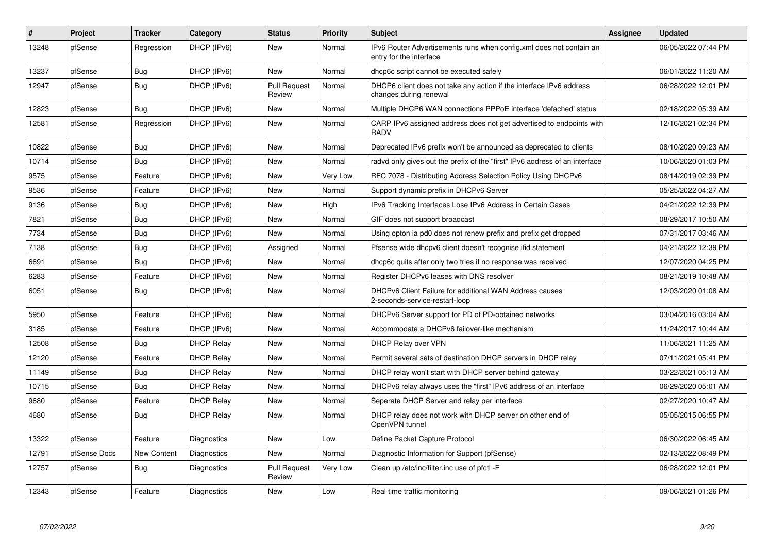| $\sharp$ | Project      | <b>Tracker</b>     | Category          | <b>Status</b>                 | Priority        | <b>Subject</b>                                                                                 | <b>Assignee</b> | <b>Updated</b>      |
|----------|--------------|--------------------|-------------------|-------------------------------|-----------------|------------------------------------------------------------------------------------------------|-----------------|---------------------|
| 13248    | pfSense      | Regression         | DHCP (IPv6)       | New                           | Normal          | IPv6 Router Advertisements runs when config.xml does not contain an<br>entry for the interface |                 | 06/05/2022 07:44 PM |
| 13237    | pfSense      | Bug                | DHCP (IPv6)       | <b>New</b>                    | Normal          | dhcp6c script cannot be executed safely                                                        |                 | 06/01/2022 11:20 AM |
| 12947    | pfSense      | <b>Bug</b>         | DHCP (IPv6)       | <b>Pull Request</b><br>Review | Normal          | DHCP6 client does not take any action if the interface IPv6 address<br>changes during renewal  |                 | 06/28/2022 12:01 PM |
| 12823    | pfSense      | Bug                | DHCP (IPv6)       | <b>New</b>                    | Normal          | Multiple DHCP6 WAN connections PPPoE interface 'defached' status                               |                 | 02/18/2022 05:39 AM |
| 12581    | pfSense      | Regression         | DHCP (IPv6)       | New                           | Normal          | CARP IPv6 assigned address does not get advertised to endpoints with<br><b>RADV</b>            |                 | 12/16/2021 02:34 PM |
| 10822    | pfSense      | Bug                | DHCP (IPv6)       | <b>New</b>                    | Normal          | Deprecated IPv6 prefix won't be announced as deprecated to clients                             |                 | 08/10/2020 09:23 AM |
| 10714    | pfSense      | Bug                | DHCP (IPv6)       | <b>New</b>                    | Normal          | radvd only gives out the prefix of the "first" IPv6 address of an interface                    |                 | 10/06/2020 01:03 PM |
| 9575     | pfSense      | Feature            | DHCP (IPv6)       | <b>New</b>                    | <b>Very Low</b> | RFC 7078 - Distributing Address Selection Policy Using DHCPv6                                  |                 | 08/14/2019 02:39 PM |
| 9536     | pfSense      | Feature            | DHCP (IPv6)       | New                           | Normal          | Support dynamic prefix in DHCPv6 Server                                                        |                 | 05/25/2022 04:27 AM |
| 9136     | pfSense      | <b>Bug</b>         | DHCP (IPv6)       | <b>New</b>                    | High            | IPv6 Tracking Interfaces Lose IPv6 Address in Certain Cases                                    |                 | 04/21/2022 12:39 PM |
| 7821     | pfSense      | Bug                | DHCP (IPv6)       | New                           | Normal          | GIF does not support broadcast                                                                 |                 | 08/29/2017 10:50 AM |
| 7734     | pfSense      | Bug                | DHCP (IPv6)       | <b>New</b>                    | Normal          | Using opton ia pd0 does not renew prefix and prefix get dropped                                |                 | 07/31/2017 03:46 AM |
| 7138     | pfSense      | <b>Bug</b>         | DHCP (IPv6)       | Assigned                      | Normal          | Pfsense wide dhcpv6 client doesn't recognise if id statement                                   |                 | 04/21/2022 12:39 PM |
| 6691     | pfSense      | Bug                | DHCP (IPv6)       | <b>New</b>                    | Normal          | dhcp6c quits after only two tries if no response was received                                  |                 | 12/07/2020 04:25 PM |
| 6283     | pfSense      | Feature            | DHCP (IPv6)       | New                           | Normal          | Register DHCPv6 leases with DNS resolver                                                       |                 | 08/21/2019 10:48 AM |
| 6051     | pfSense      | Bug                | DHCP (IPv6)       | <b>New</b>                    | Normal          | DHCPv6 Client Failure for additional WAN Address causes<br>2-seconds-service-restart-loop      |                 | 12/03/2020 01:08 AM |
| 5950     | pfSense      | Feature            | DHCP (IPv6)       | <b>New</b>                    | Normal          | DHCPv6 Server support for PD of PD-obtained networks                                           |                 | 03/04/2016 03:04 AM |
| 3185     | pfSense      | Feature            | DHCP (IPv6)       | New                           | Normal          | Accommodate a DHCPv6 failover-like mechanism                                                   |                 | 11/24/2017 10:44 AM |
| 12508    | pfSense      | <b>Bug</b>         | <b>DHCP Relay</b> | <b>New</b>                    | Normal          | <b>DHCP Relay over VPN</b>                                                                     |                 | 11/06/2021 11:25 AM |
| 12120    | pfSense      | Feature            | <b>DHCP Relay</b> | New                           | Normal          | Permit several sets of destination DHCP servers in DHCP relay                                  |                 | 07/11/2021 05:41 PM |
| 11149    | pfSense      | <b>Bug</b>         | <b>DHCP Relay</b> | <b>New</b>                    | Normal          | DHCP relay won't start with DHCP server behind gateway                                         |                 | 03/22/2021 05:13 AM |
| 10715    | pfSense      | Bug                | <b>DHCP Relay</b> | New                           | Normal          | DHCPv6 relay always uses the "first" IPv6 address of an interface                              |                 | 06/29/2020 05:01 AM |
| 9680     | pfSense      | Feature            | <b>DHCP Relay</b> | <b>New</b>                    | Normal          | Seperate DHCP Server and relay per interface                                                   |                 | 02/27/2020 10:47 AM |
| 4680     | pfSense      | <b>Bug</b>         | <b>DHCP Relay</b> | New                           | Normal          | DHCP relay does not work with DHCP server on other end of<br>OpenVPN tunnel                    |                 | 05/05/2015 06:55 PM |
| 13322    | pfSense      | Feature            | Diagnostics       | <b>New</b>                    | Low             | Define Packet Capture Protocol                                                                 |                 | 06/30/2022 06:45 AM |
| 12791    | pfSense Docs | <b>New Content</b> | Diagnostics       | New                           | Normal          | Diagnostic Information for Support (pfSense)                                                   |                 | 02/13/2022 08:49 PM |
| 12757    | pfSense      | <b>Bug</b>         | Diagnostics       | <b>Pull Request</b><br>Review | Very Low        | Clean up /etc/inc/filter.inc use of pfctl -F                                                   |                 | 06/28/2022 12:01 PM |
| 12343    | pfSense      | Feature            | Diagnostics       | New                           | Low             | Real time traffic monitoring                                                                   |                 | 09/06/2021 01:26 PM |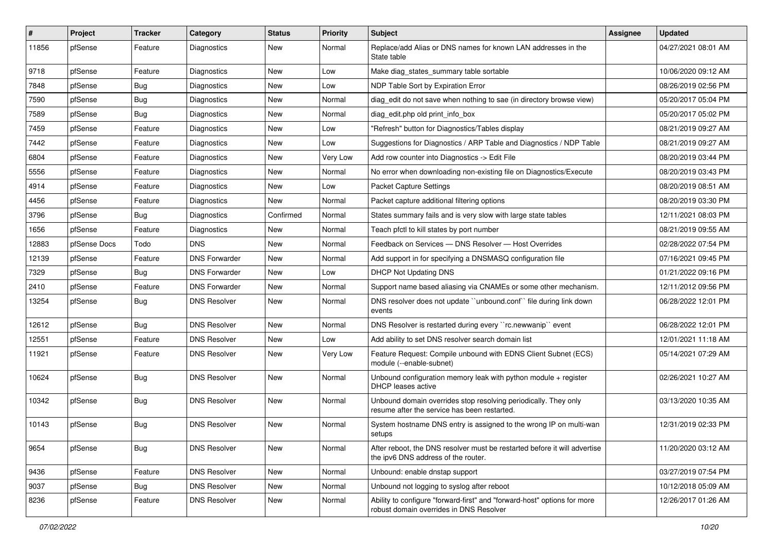| #     | Project      | <b>Tracker</b> | Category             | <b>Status</b> | <b>Priority</b> | <b>Subject</b>                                                                                                      | <b>Assignee</b> | <b>Updated</b>      |
|-------|--------------|----------------|----------------------|---------------|-----------------|---------------------------------------------------------------------------------------------------------------------|-----------------|---------------------|
| 11856 | pfSense      | Feature        | Diagnostics          | New           | Normal          | Replace/add Alias or DNS names for known LAN addresses in the<br>State table                                        |                 | 04/27/2021 08:01 AM |
| 9718  | pfSense      | Feature        | Diagnostics          | New           | Low             | Make diag states summary table sortable                                                                             |                 | 10/06/2020 09:12 AM |
| 7848  | pfSense      | <b>Bug</b>     | Diagnostics          | New           | Low             | NDP Table Sort by Expiration Error                                                                                  |                 | 08/26/2019 02:56 PM |
| 7590  | pfSense      | Bug            | Diagnostics          | New           | Normal          | diag_edit do not save when nothing to sae (in directory browse view)                                                |                 | 05/20/2017 05:04 PM |
| 7589  | pfSense      | Bug            | Diagnostics          | New           | Normal          | diag_edit.php old print_info_box                                                                                    |                 | 05/20/2017 05:02 PM |
| 7459  | pfSense      | Feature        | Diagnostics          | New           | Low             | "Refresh" button for Diagnostics/Tables display                                                                     |                 | 08/21/2019 09:27 AM |
| 7442  | pfSense      | Feature        | Diagnostics          | New           | Low             | Suggestions for Diagnostics / ARP Table and Diagnostics / NDP Table                                                 |                 | 08/21/2019 09:27 AM |
| 6804  | pfSense      | Feature        | <b>Diagnostics</b>   | <b>New</b>    | Very Low        | Add row counter into Diagnostics -> Edit File                                                                       |                 | 08/20/2019 03:44 PM |
| 5556  | pfSense      | Feature        | Diagnostics          | New           | Normal          | No error when downloading non-existing file on Diagnostics/Execute                                                  |                 | 08/20/2019 03:43 PM |
| 4914  | pfSense      | Feature        | Diagnostics          | New           | Low             | <b>Packet Capture Settings</b>                                                                                      |                 | 08/20/2019 08:51 AM |
| 4456  | pfSense      | Feature        | Diagnostics          | New           | Normal          | Packet capture additional filtering options                                                                         |                 | 08/20/2019 03:30 PM |
| 3796  | pfSense      | Bug            | Diagnostics          | Confirmed     | Normal          | States summary fails and is very slow with large state tables                                                       |                 | 12/11/2021 08:03 PM |
| 1656  | pfSense      | Feature        | Diagnostics          | New           | Normal          | Teach pfctl to kill states by port number                                                                           |                 | 08/21/2019 09:55 AM |
| 12883 | pfSense Docs | Todo           | <b>DNS</b>           | <b>New</b>    | Normal          | Feedback on Services - DNS Resolver - Host Overrides                                                                |                 | 02/28/2022 07:54 PM |
| 12139 | pfSense      | Feature        | <b>DNS Forwarder</b> | New           | Normal          | Add support in for specifying a DNSMASQ configuration file                                                          |                 | 07/16/2021 09:45 PM |
| 7329  | pfSense      | <b>Bug</b>     | <b>DNS Forwarder</b> | New           | Low             | <b>DHCP Not Updating DNS</b>                                                                                        |                 | 01/21/2022 09:16 PM |
| 2410  | pfSense      | Feature        | <b>DNS Forwarder</b> | <b>New</b>    | Normal          | Support name based aliasing via CNAMEs or some other mechanism.                                                     |                 | 12/11/2012 09:56 PM |
| 13254 | pfSense      | <b>Bug</b>     | <b>DNS Resolver</b>  | New           | Normal          | DNS resolver does not update "unbound.conf" file during link down<br>events                                         |                 | 06/28/2022 12:01 PM |
| 12612 | pfSense      | Bug            | <b>DNS Resolver</b>  | New           | Normal          | DNS Resolver is restarted during every "rc.newwanip" event                                                          |                 | 06/28/2022 12:01 PM |
| 12551 | pfSense      | Feature        | <b>DNS Resolver</b>  | New           | Low             | Add ability to set DNS resolver search domain list                                                                  |                 | 12/01/2021 11:18 AM |
| 11921 | pfSense      | Feature        | <b>DNS Resolver</b>  | New           | Very Low        | Feature Request: Compile unbound with EDNS Client Subnet (ECS)<br>module (--enable-subnet)                          |                 | 05/14/2021 07:29 AM |
| 10624 | pfSense      | Bug            | <b>DNS Resolver</b>  | New           | Normal          | Unbound configuration memory leak with python module $+$ register<br>DHCP leases active                             |                 | 02/26/2021 10:27 AM |
| 10342 | pfSense      | Bug            | <b>DNS Resolver</b>  | <b>New</b>    | Normal          | Unbound domain overrides stop resolving periodically. They only<br>resume after the service has been restarted.     |                 | 03/13/2020 10:35 AM |
| 10143 | pfSense      | Bug            | <b>DNS Resolver</b>  | New           | Normal          | System hostname DNS entry is assigned to the wrong IP on multi-wan<br>setups                                        |                 | 12/31/2019 02:33 PM |
| 9654  | pfSense      | Bug            | <b>DNS Resolver</b>  | New           | Normal          | After reboot, the DNS resolver must be restarted before it will advertise<br>the ipv6 DNS address of the router.    |                 | 11/20/2020 03:12 AM |
| 9436  | pfSense      | Feature        | <b>DNS Resolver</b>  | New           | Normal          | Unbound: enable dnstap support                                                                                      |                 | 03/27/2019 07:54 PM |
| 9037  | pfSense      | <b>Bug</b>     | <b>DNS Resolver</b>  | New           | Normal          | Unbound not logging to syslog after reboot                                                                          |                 | 10/12/2018 05:09 AM |
| 8236  | pfSense      | Feature        | <b>DNS Resolver</b>  | New           | Normal          | Ability to configure "forward-first" and "forward-host" options for more<br>robust domain overrides in DNS Resolver |                 | 12/26/2017 01:26 AM |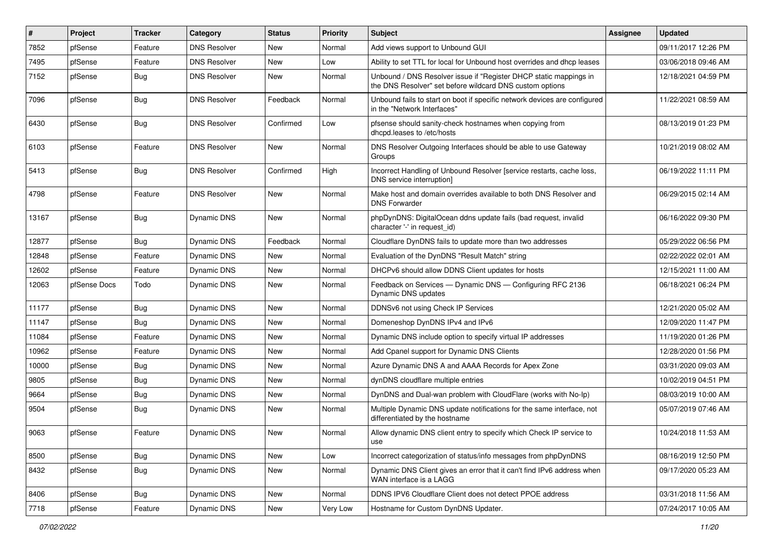| $\vert$ # | Project      | <b>Tracker</b> | Category            | <b>Status</b> | Priority | <b>Subject</b>                                                                                                                | <b>Assignee</b> | <b>Updated</b>      |
|-----------|--------------|----------------|---------------------|---------------|----------|-------------------------------------------------------------------------------------------------------------------------------|-----------------|---------------------|
| 7852      | pfSense      | Feature        | <b>DNS Resolver</b> | New           | Normal   | Add views support to Unbound GUI                                                                                              |                 | 09/11/2017 12:26 PM |
| 7495      | pfSense      | Feature        | <b>DNS Resolver</b> | <b>New</b>    | Low      | Ability to set TTL for local for Unbound host overrides and dhop leases                                                       |                 | 03/06/2018 09:46 AM |
| 7152      | pfSense      | Bug            | <b>DNS Resolver</b> | <b>New</b>    | Normal   | Unbound / DNS Resolver issue if "Register DHCP static mappings in<br>the DNS Resolver" set before wildcard DNS custom options |                 | 12/18/2021 04:59 PM |
| 7096      | pfSense      | Bug            | <b>DNS Resolver</b> | Feedback      | Normal   | Unbound fails to start on boot if specific network devices are configured<br>in the "Network Interfaces"                      |                 | 11/22/2021 08:59 AM |
| 6430      | pfSense      | Bug            | <b>DNS Resolver</b> | Confirmed     | Low      | pfsense should sanity-check hostnames when copying from<br>dhcpd.leases to /etc/hosts                                         |                 | 08/13/2019 01:23 PM |
| 6103      | pfSense      | Feature        | <b>DNS Resolver</b> | <b>New</b>    | Normal   | DNS Resolver Outgoing Interfaces should be able to use Gateway<br>Groups                                                      |                 | 10/21/2019 08:02 AM |
| 5413      | pfSense      | <b>Bug</b>     | <b>DNS Resolver</b> | Confirmed     | High     | Incorrect Handling of Unbound Resolver [service restarts, cache loss,<br>DNS service interruption]                            |                 | 06/19/2022 11:11 PM |
| 4798      | pfSense      | Feature        | <b>DNS Resolver</b> | New           | Normal   | Make host and domain overrides available to both DNS Resolver and<br><b>DNS Forwarder</b>                                     |                 | 06/29/2015 02:14 AM |
| 13167     | pfSense      | Bug            | Dynamic DNS         | New           | Normal   | phpDynDNS: DigitalOcean ddns update fails (bad request, invalid<br>character '-' in request_id)                               |                 | 06/16/2022 09:30 PM |
| 12877     | pfSense      | Bug            | Dynamic DNS         | Feedback      | Normal   | Cloudflare DynDNS fails to update more than two addresses                                                                     |                 | 05/29/2022 06:56 PM |
| 12848     | pfSense      | Feature        | Dynamic DNS         | <b>New</b>    | Normal   | Evaluation of the DynDNS "Result Match" string                                                                                |                 | 02/22/2022 02:01 AM |
| 12602     | pfSense      | Feature        | Dynamic DNS         | <b>New</b>    | Normal   | DHCPv6 should allow DDNS Client updates for hosts                                                                             |                 | 12/15/2021 11:00 AM |
| 12063     | pfSense Docs | Todo           | Dynamic DNS         | New           | Normal   | Feedback on Services - Dynamic DNS - Configuring RFC 2136<br>Dynamic DNS updates                                              |                 | 06/18/2021 06:24 PM |
| 11177     | pfSense      | Bug            | Dynamic DNS         | <b>New</b>    | Normal   | DDNSv6 not using Check IP Services                                                                                            |                 | 12/21/2020 05:02 AM |
| 11147     | pfSense      | Bug            | Dynamic DNS         | <b>New</b>    | Normal   | Domeneshop DynDNS IPv4 and IPv6                                                                                               |                 | 12/09/2020 11:47 PM |
| 11084     | pfSense      | Feature        | Dynamic DNS         | <b>New</b>    | Normal   | Dynamic DNS include option to specify virtual IP addresses                                                                    |                 | 11/19/2020 01:26 PM |
| 10962     | pfSense      | Feature        | Dynamic DNS         | New           | Normal   | Add Cpanel support for Dynamic DNS Clients                                                                                    |                 | 12/28/2020 01:56 PM |
| 10000     | pfSense      | <b>Bug</b>     | Dynamic DNS         | <b>New</b>    | Normal   | Azure Dynamic DNS A and AAAA Records for Apex Zone                                                                            |                 | 03/31/2020 09:03 AM |
| 9805      | pfSense      | Bug            | Dynamic DNS         | <b>New</b>    | Normal   | dynDNS cloudflare multiple entries                                                                                            |                 | 10/02/2019 04:51 PM |
| 9664      | pfSense      | Bug            | Dynamic DNS         | New           | Normal   | DynDNS and Dual-wan problem with CloudFlare (works with No-Ip)                                                                |                 | 08/03/2019 10:00 AM |
| 9504      | pfSense      | <b>Bug</b>     | Dynamic DNS         | New           | Normal   | Multiple Dynamic DNS update notifications for the same interface, not<br>differentiated by the hostname                       |                 | 05/07/2019 07:46 AM |
| 9063      | pfSense      | Feature        | Dynamic DNS         | New           | Normal   | Allow dynamic DNS client entry to specify which Check IP service to<br>use                                                    |                 | 10/24/2018 11:53 AM |
| 8500      | pfSense      | Bug            | Dynamic DNS         | New           | Low      | Incorrect categorization of status/info messages from phpDynDNS                                                               |                 | 08/16/2019 12:50 PM |
| 8432      | pfSense      | Bug            | <b>Dynamic DNS</b>  | New           | Normal   | Dynamic DNS Client gives an error that it can't find IPv6 address when<br>WAN interface is a LAGG                             |                 | 09/17/2020 05:23 AM |
| 8406      | pfSense      | <b>Bug</b>     | Dynamic DNS         | New           | Normal   | DDNS IPV6 Cloudflare Client does not detect PPOE address                                                                      |                 | 03/31/2018 11:56 AM |
| 7718      | pfSense      | Feature        | Dynamic DNS         | New           | Very Low | Hostname for Custom DynDNS Updater.                                                                                           |                 | 07/24/2017 10:05 AM |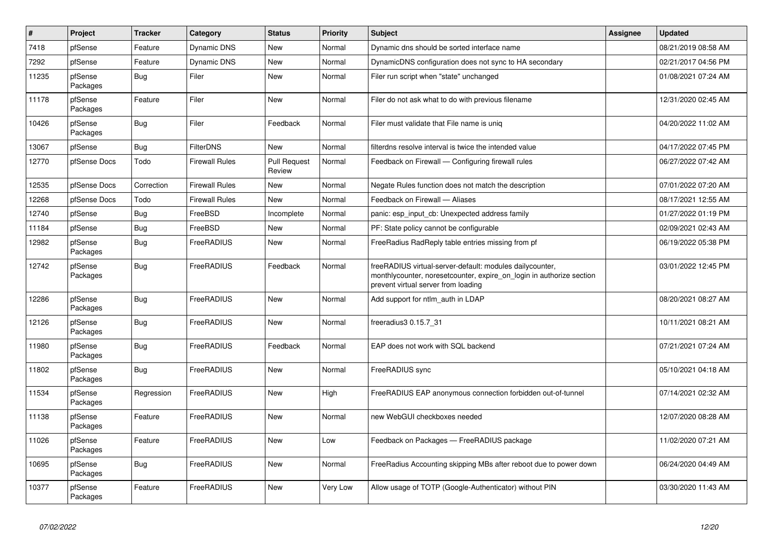| #     | <b>Project</b>      | <b>Tracker</b> | Category              | <b>Status</b>                 | Priority | <b>Subject</b>                                                                                                                                                           | <b>Assignee</b> | <b>Updated</b>      |
|-------|---------------------|----------------|-----------------------|-------------------------------|----------|--------------------------------------------------------------------------------------------------------------------------------------------------------------------------|-----------------|---------------------|
| 7418  | pfSense             | Feature        | Dynamic DNS           | <b>New</b>                    | Normal   | Dynamic dns should be sorted interface name                                                                                                                              |                 | 08/21/2019 08:58 AM |
| 7292  | pfSense             | Feature        | <b>Dynamic DNS</b>    | <b>New</b>                    | Normal   | DynamicDNS configuration does not sync to HA secondary                                                                                                                   |                 | 02/21/2017 04:56 PM |
| 11235 | pfSense<br>Packages | Bug            | Filer                 | New                           | Normal   | Filer run script when "state" unchanged                                                                                                                                  |                 | 01/08/2021 07:24 AM |
| 11178 | pfSense<br>Packages | Feature        | Filer                 | New                           | Normal   | Filer do not ask what to do with previous filename                                                                                                                       |                 | 12/31/2020 02:45 AM |
| 10426 | pfSense<br>Packages | <b>Bug</b>     | Filer                 | Feedback                      | Normal   | Filer must validate that File name is unig                                                                                                                               |                 | 04/20/2022 11:02 AM |
| 13067 | pfSense             | <b>Bug</b>     | <b>FilterDNS</b>      | <b>New</b>                    | Normal   | filterdns resolve interval is twice the intended value                                                                                                                   |                 | 04/17/2022 07:45 PM |
| 12770 | pfSense Docs        | Todo           | <b>Firewall Rules</b> | <b>Pull Request</b><br>Review | Normal   | Feedback on Firewall — Configuring firewall rules                                                                                                                        |                 | 06/27/2022 07:42 AM |
| 12535 | pfSense Docs        | Correction     | Firewall Rules        | <b>New</b>                    | Normal   | Negate Rules function does not match the description                                                                                                                     |                 | 07/01/2022 07:20 AM |
| 12268 | pfSense Docs        | Todo           | <b>Firewall Rules</b> | <b>New</b>                    | Normal   | Feedback on Firewall — Aliases                                                                                                                                           |                 | 08/17/2021 12:55 AM |
| 12740 | pfSense             | <b>Bug</b>     | FreeBSD               | Incomplete                    | Normal   | panic: esp input cb: Unexpected address family                                                                                                                           |                 | 01/27/2022 01:19 PM |
| 11184 | pfSense             | <b>Bug</b>     | FreeBSD               | <b>New</b>                    | Normal   | PF: State policy cannot be configurable                                                                                                                                  |                 | 02/09/2021 02:43 AM |
| 12982 | pfSense<br>Packages | <b>Bug</b>     | FreeRADIUS            | New                           | Normal   | FreeRadius RadReply table entries missing from pf                                                                                                                        |                 | 06/19/2022 05:38 PM |
| 12742 | pfSense<br>Packages | <b>Bug</b>     | FreeRADIUS            | Feedback                      | Normal   | freeRADIUS virtual-server-default: modules dailycounter,<br>monthlycounter, noreset counter, expire on login in authorize section<br>prevent virtual server from loading |                 | 03/01/2022 12:45 PM |
| 12286 | pfSense<br>Packages | <b>Bug</b>     | FreeRADIUS            | <b>New</b>                    | Normal   | Add support for ntlm auth in LDAP                                                                                                                                        |                 | 08/20/2021 08:27 AM |
| 12126 | pfSense<br>Packages | <b>Bug</b>     | FreeRADIUS            | <b>New</b>                    | Normal   | freeradius3 0.15.7 31                                                                                                                                                    |                 | 10/11/2021 08:21 AM |
| 11980 | pfSense<br>Packages | <b>Bug</b>     | FreeRADIUS            | Feedback                      | Normal   | EAP does not work with SQL backend                                                                                                                                       |                 | 07/21/2021 07:24 AM |
| 11802 | pfSense<br>Packages | <b>Bug</b>     | FreeRADIUS            | <b>New</b>                    | Normal   | FreeRADIUS sync                                                                                                                                                          |                 | 05/10/2021 04:18 AM |
| 11534 | pfSense<br>Packages | Regression     | FreeRADIUS            | <b>New</b>                    | High     | FreeRADIUS EAP anonymous connection forbidden out-of-tunnel                                                                                                              |                 | 07/14/2021 02:32 AM |
| 11138 | pfSense<br>Packages | Feature        | FreeRADIUS            | New                           | Normal   | new WebGUI checkboxes needed                                                                                                                                             |                 | 12/07/2020 08:28 AM |
| 11026 | pfSense<br>Packages | Feature        | FreeRADIUS            | <b>New</b>                    | Low      | Feedback on Packages — FreeRADIUS package                                                                                                                                |                 | 11/02/2020 07:21 AM |
| 10695 | pfSense<br>Packages | <b>Bug</b>     | FreeRADIUS            | New                           | Normal   | FreeRadius Accounting skipping MBs after reboot due to power down                                                                                                        |                 | 06/24/2020 04:49 AM |
| 10377 | pfSense<br>Packages | Feature        | FreeRADIUS            | <b>New</b>                    | Very Low | Allow usage of TOTP (Google-Authenticator) without PIN                                                                                                                   |                 | 03/30/2020 11:43 AM |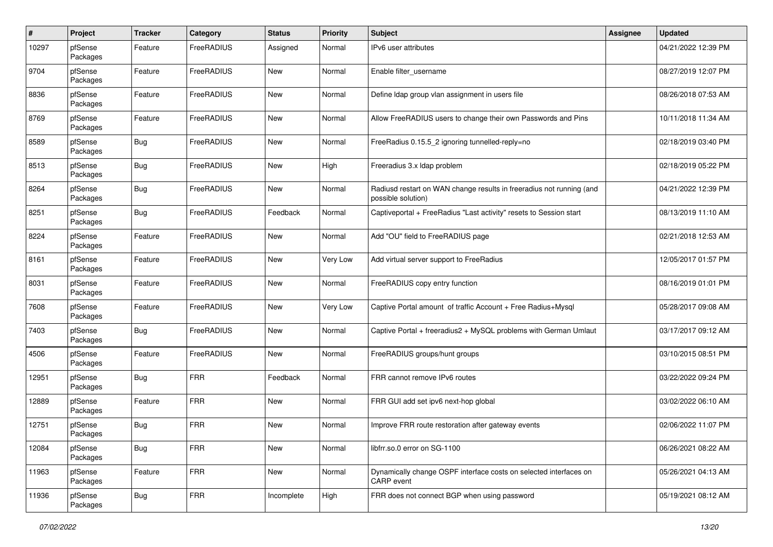| $\#$  | Project             | <b>Tracker</b> | Category   | <b>Status</b> | <b>Priority</b> | <b>Subject</b>                                                                             | <b>Assignee</b> | <b>Updated</b>      |
|-------|---------------------|----------------|------------|---------------|-----------------|--------------------------------------------------------------------------------------------|-----------------|---------------------|
| 10297 | pfSense<br>Packages | Feature        | FreeRADIUS | Assigned      | Normal          | IPv6 user attributes                                                                       |                 | 04/21/2022 12:39 PM |
| 9704  | pfSense<br>Packages | Feature        | FreeRADIUS | New           | Normal          | Enable filter_username                                                                     |                 | 08/27/2019 12:07 PM |
| 8836  | pfSense<br>Packages | Feature        | FreeRADIUS | <b>New</b>    | Normal          | Define Idap group vlan assignment in users file                                            |                 | 08/26/2018 07:53 AM |
| 8769  | pfSense<br>Packages | Feature        | FreeRADIUS | New           | Normal          | Allow FreeRADIUS users to change their own Passwords and Pins                              |                 | 10/11/2018 11:34 AM |
| 8589  | pfSense<br>Packages | <b>Bug</b>     | FreeRADIUS | New           | Normal          | FreeRadius 0.15.5_2 ignoring tunnelled-reply=no                                            |                 | 02/18/2019 03:40 PM |
| 8513  | pfSense<br>Packages | <b>Bug</b>     | FreeRADIUS | <b>New</b>    | High            | Freeradius 3.x Idap problem                                                                |                 | 02/18/2019 05:22 PM |
| 8264  | pfSense<br>Packages | <b>Bug</b>     | FreeRADIUS | <b>New</b>    | Normal          | Radiusd restart on WAN change results in freeradius not running (and<br>possible solution) |                 | 04/21/2022 12:39 PM |
| 8251  | pfSense<br>Packages | <b>Bug</b>     | FreeRADIUS | Feedback      | Normal          | Captiveportal + FreeRadius "Last activity" resets to Session start                         |                 | 08/13/2019 11:10 AM |
| 8224  | pfSense<br>Packages | Feature        | FreeRADIUS | New           | Normal          | Add "OU" field to FreeRADIUS page                                                          |                 | 02/21/2018 12:53 AM |
| 8161  | pfSense<br>Packages | Feature        | FreeRADIUS | New           | Very Low        | Add virtual server support to FreeRadius                                                   |                 | 12/05/2017 01:57 PM |
| 8031  | pfSense<br>Packages | Feature        | FreeRADIUS | New           | Normal          | FreeRADIUS copy entry function                                                             |                 | 08/16/2019 01:01 PM |
| 7608  | pfSense<br>Packages | Feature        | FreeRADIUS | <b>New</b>    | Very Low        | Captive Portal amount of traffic Account + Free Radius+Mysql                               |                 | 05/28/2017 09:08 AM |
| 7403  | pfSense<br>Packages | <b>Bug</b>     | FreeRADIUS | <b>New</b>    | Normal          | Captive Portal + freeradius2 + MySQL problems with German Umlaut                           |                 | 03/17/2017 09:12 AM |
| 4506  | pfSense<br>Packages | Feature        | FreeRADIUS | <b>New</b>    | Normal          | FreeRADIUS groups/hunt groups                                                              |                 | 03/10/2015 08:51 PM |
| 12951 | pfSense<br>Packages | <b>Bug</b>     | <b>FRR</b> | Feedback      | Normal          | FRR cannot remove IPv6 routes                                                              |                 | 03/22/2022 09:24 PM |
| 12889 | pfSense<br>Packages | Feature        | FRR        | <b>New</b>    | Normal          | FRR GUI add set ipv6 next-hop global                                                       |                 | 03/02/2022 06:10 AM |
| 12751 | pfSense<br>Packages | <b>Bug</b>     | FRR        | <b>New</b>    | Normal          | Improve FRR route restoration after gateway events                                         |                 | 02/06/2022 11:07 PM |
| 12084 | pfSense<br>Packages | <b>Bug</b>     | <b>FRR</b> | New           | Normal          | libfrr.so.0 error on SG-1100                                                               |                 | 06/26/2021 08:22 AM |
| 11963 | pfSense<br>Packages | Feature        | <b>FRR</b> | New           | Normal          | Dynamically change OSPF interface costs on selected interfaces on<br>CARP event            |                 | 05/26/2021 04:13 AM |
| 11936 | pfSense<br>Packages | Bug            | <b>FRR</b> | Incomplete    | High            | FRR does not connect BGP when using password                                               |                 | 05/19/2021 08:12 AM |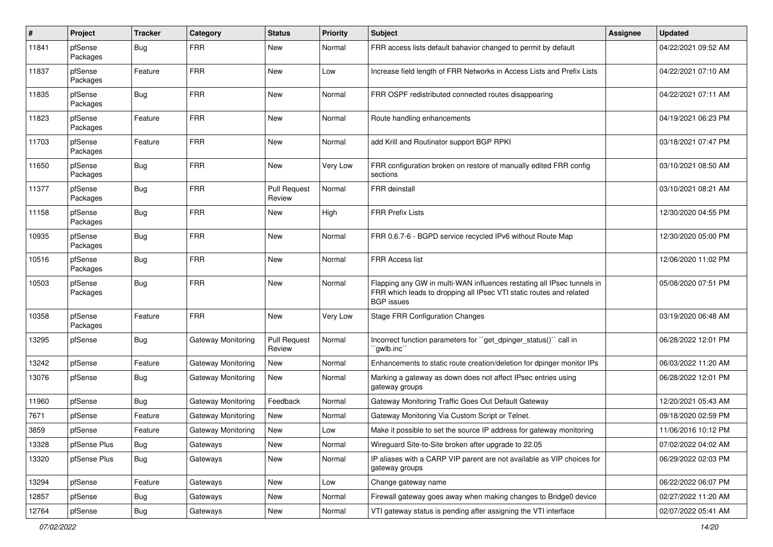| $\pmb{\#}$ | Project             | <b>Tracker</b> | Category                  | <b>Status</b>                 | <b>Priority</b> | <b>Subject</b>                                                                                                                                                     | <b>Assignee</b> | <b>Updated</b>      |
|------------|---------------------|----------------|---------------------------|-------------------------------|-----------------|--------------------------------------------------------------------------------------------------------------------------------------------------------------------|-----------------|---------------------|
| 11841      | pfSense<br>Packages | <b>Bug</b>     | <b>FRR</b>                | New                           | Normal          | FRR access lists default bahavior changed to permit by default                                                                                                     |                 | 04/22/2021 09:52 AM |
| 11837      | pfSense<br>Packages | Feature        | <b>FRR</b>                | New                           | Low             | Increase field length of FRR Networks in Access Lists and Prefix Lists                                                                                             |                 | 04/22/2021 07:10 AM |
| 11835      | pfSense<br>Packages | <b>Bug</b>     | <b>FRR</b>                | <b>New</b>                    | Normal          | FRR OSPF redistributed connected routes disappearing                                                                                                               |                 | 04/22/2021 07:11 AM |
| 11823      | pfSense<br>Packages | Feature        | <b>FRR</b>                | <b>New</b>                    | Normal          | Route handling enhancements                                                                                                                                        |                 | 04/19/2021 06:23 PM |
| 11703      | pfSense<br>Packages | Feature        | <b>FRR</b>                | <b>New</b>                    | Normal          | add Krill and Routinator support BGP RPKI                                                                                                                          |                 | 03/18/2021 07:47 PM |
| 11650      | pfSense<br>Packages | Bug            | <b>FRR</b>                | New                           | Very Low        | FRR configuration broken on restore of manually edited FRR config<br>sections                                                                                      |                 | 03/10/2021 08:50 AM |
| 11377      | pfSense<br>Packages | <b>Bug</b>     | <b>FRR</b>                | <b>Pull Request</b><br>Review | Normal          | <b>FRR</b> deinstall                                                                                                                                               |                 | 03/10/2021 08:21 AM |
| 11158      | pfSense<br>Packages | <b>Bug</b>     | <b>FRR</b>                | New                           | High            | <b>FRR Prefix Lists</b>                                                                                                                                            |                 | 12/30/2020 04:55 PM |
| 10935      | pfSense<br>Packages | <b>Bug</b>     | <b>FRR</b>                | New                           | Normal          | FRR 0.6.7-6 - BGPD service recycled IPv6 without Route Map                                                                                                         |                 | 12/30/2020 05:00 PM |
| 10516      | pfSense<br>Packages | <b>Bug</b>     | <b>FRR</b>                | New                           | Normal          | <b>FRR Access list</b>                                                                                                                                             |                 | 12/06/2020 11:02 PM |
| 10503      | pfSense<br>Packages | <b>Bug</b>     | <b>FRR</b>                | <b>New</b>                    | Normal          | Flapping any GW in multi-WAN influences restating all IPsec tunnels in<br>FRR which leads to dropping all IPsec VTI static routes and related<br><b>BGP</b> issues |                 | 05/08/2020 07:51 PM |
| 10358      | pfSense<br>Packages | Feature        | <b>FRR</b>                | <b>New</b>                    | Very Low        | <b>Stage FRR Configuration Changes</b>                                                                                                                             |                 | 03/19/2020 06:48 AM |
| 13295      | pfSense             | Bug            | Gateway Monitoring        | <b>Pull Request</b><br>Review | Normal          | Incorrect function parameters for "get_dpinger_status()" call in<br>`qwlb.inc``                                                                                    |                 | 06/28/2022 12:01 PM |
| 13242      | pfSense             | Feature        | <b>Gateway Monitoring</b> | New                           | Normal          | Enhancements to static route creation/deletion for dpinger monitor IPs                                                                                             |                 | 06/03/2022 11:20 AM |
| 13076      | pfSense             | <b>Bug</b>     | Gateway Monitoring        | New                           | Normal          | Marking a gateway as down does not affect IPsec entries using<br>gateway groups                                                                                    |                 | 06/28/2022 12:01 PM |
| 11960      | pfSense             | <b>Bug</b>     | Gateway Monitoring        | Feedback                      | Normal          | Gateway Monitoring Traffic Goes Out Default Gateway                                                                                                                |                 | 12/20/2021 05:43 AM |
| 7671       | pfSense             | Feature        | Gateway Monitoring        | New                           | Normal          | Gateway Monitoring Via Custom Script or Telnet.                                                                                                                    |                 | 09/18/2020 02:59 PM |
| 3859       | pfSense             | Feature        | Gateway Monitoring        | New                           | Low             | Make it possible to set the source IP address for gateway monitoring                                                                                               |                 | 11/06/2016 10:12 PM |
| 13328      | pfSense Plus        | Bug            | Gateways                  | New                           | Normal          | Wireguard Site-to-Site broken after upgrade to 22.05                                                                                                               |                 | 07/02/2022 04:02 AM |
| 13320      | pfSense Plus        | Bug            | Gateways                  | New                           | Normal          | IP aliases with a CARP VIP parent are not available as VIP choices for<br>gateway groups                                                                           |                 | 06/29/2022 02:03 PM |
| 13294      | pfSense             | Feature        | Gateways                  | New                           | Low             | Change gateway name                                                                                                                                                |                 | 06/22/2022 06:07 PM |
| 12857      | pfSense             | Bug            | Gateways                  | New                           | Normal          | Firewall gateway goes away when making changes to Bridge0 device                                                                                                   |                 | 02/27/2022 11:20 AM |
| 12764      | pfSense             | Bug            | Gateways                  | New                           | Normal          | VTI gateway status is pending after assigning the VTI interface                                                                                                    |                 | 02/07/2022 05:41 AM |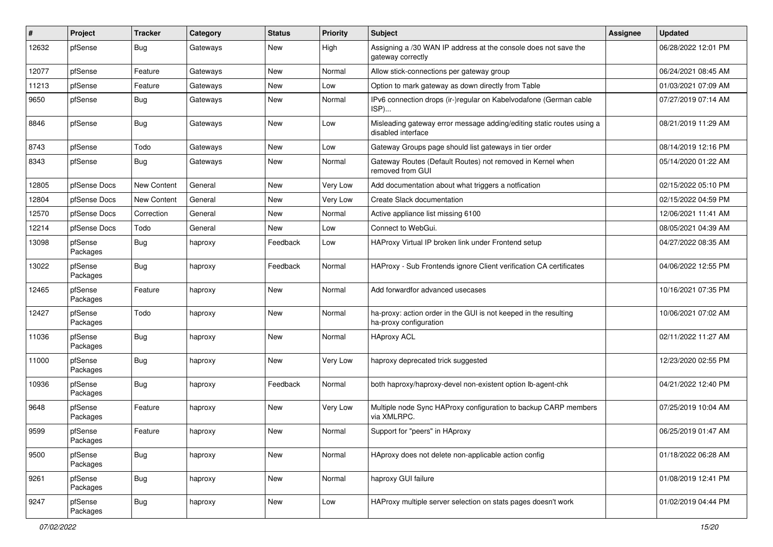| #     | Project             | <b>Tracker</b> | Category | <b>Status</b> | <b>Priority</b> | <b>Subject</b>                                                                              | <b>Assignee</b> | <b>Updated</b>      |
|-------|---------------------|----------------|----------|---------------|-----------------|---------------------------------------------------------------------------------------------|-----------------|---------------------|
| 12632 | pfSense             | <b>Bug</b>     | Gateways | New           | High            | Assigning a /30 WAN IP address at the console does not save the<br>gateway correctly        |                 | 06/28/2022 12:01 PM |
| 12077 | pfSense             | Feature        | Gateways | New           | Normal          | Allow stick-connections per gateway group                                                   |                 | 06/24/2021 08:45 AM |
| 11213 | pfSense             | Feature        | Gateways | New           | Low             | Option to mark gateway as down directly from Table                                          |                 | 01/03/2021 07:09 AM |
| 9650  | pfSense             | <b>Bug</b>     | Gateways | New           | Normal          | IPv6 connection drops (ir-)regular on Kabelvodafone (German cable<br>ISP)                   |                 | 07/27/2019 07:14 AM |
| 8846  | pfSense             | <b>Bug</b>     | Gateways | New           | Low             | Misleading gateway error message adding/editing static routes using a<br>disabled interface |                 | 08/21/2019 11:29 AM |
| 8743  | pfSense             | Todo           | Gateways | <b>New</b>    | Low             | Gateway Groups page should list gateways in tier order                                      |                 | 08/14/2019 12:16 PM |
| 8343  | pfSense             | <b>Bug</b>     | Gateways | New           | Normal          | Gateway Routes (Default Routes) not removed in Kernel when<br>removed from GUI              |                 | 05/14/2020 01:22 AM |
| 12805 | pfSense Docs        | New Content    | General  | <b>New</b>    | Very Low        | Add documentation about what triggers a notfication                                         |                 | 02/15/2022 05:10 PM |
| 12804 | pfSense Docs        | New Content    | General  | New           | Very Low        | Create Slack documentation                                                                  |                 | 02/15/2022 04:59 PM |
| 12570 | pfSense Docs        | Correction     | General  | New           | Normal          | Active appliance list missing 6100                                                          |                 | 12/06/2021 11:41 AM |
| 12214 | pfSense Docs        | Todo           | General  | New           | Low             | Connect to WebGui.                                                                          |                 | 08/05/2021 04:39 AM |
| 13098 | pfSense<br>Packages | Bug            | haproxy  | Feedback      | Low             | HAProxy Virtual IP broken link under Frontend setup                                         |                 | 04/27/2022 08:35 AM |
| 13022 | pfSense<br>Packages | <b>Bug</b>     | haproxy  | Feedback      | Normal          | HAProxy - Sub Frontends ignore Client verification CA certificates                          |                 | 04/06/2022 12:55 PM |
| 12465 | pfSense<br>Packages | Feature        | haproxy  | <b>New</b>    | Normal          | Add forwardfor advanced usecases                                                            |                 | 10/16/2021 07:35 PM |
| 12427 | pfSense<br>Packages | Todo           | haproxy  | <b>New</b>    | Normal          | ha-proxy: action order in the GUI is not keeped in the resulting<br>ha-proxy configuration  |                 | 10/06/2021 07:02 AM |
| 11036 | pfSense<br>Packages | <b>Bug</b>     | haproxy  | New           | Normal          | <b>HAproxy ACL</b>                                                                          |                 | 02/11/2022 11:27 AM |
| 11000 | pfSense<br>Packages | <b>Bug</b>     | haproxy  | New           | Very Low        | haproxy deprecated trick suggested                                                          |                 | 12/23/2020 02:55 PM |
| 10936 | pfSense<br>Packages | Bug            | haproxy  | Feedback      | Normal          | both haproxy/haproxy-devel non-existent option Ib-agent-chk                                 |                 | 04/21/2022 12:40 PM |
| 9648  | pfSense<br>Packages | Feature        | haproxy  | <b>New</b>    | Very Low        | Multiple node Sync HAProxy configuration to backup CARP members<br>via XMLRPC.              |                 | 07/25/2019 10:04 AM |
| 9599  | pfSense<br>Packages | Feature        | haproxy  | New           | Normal          | Support for "peers" in HAproxy                                                              |                 | 06/25/2019 01:47 AM |
| 9500  | pfSense<br>Packages | Bug            | haproxy  | New           | Normal          | HAproxy does not delete non-applicable action config                                        |                 | 01/18/2022 06:28 AM |
| 9261  | pfSense<br>Packages | <b>Bug</b>     | haproxy  | New           | Normal          | haproxy GUI failure                                                                         |                 | 01/08/2019 12:41 PM |
| 9247  | pfSense<br>Packages | <b>Bug</b>     | haproxy  | New           | Low             | HAProxy multiple server selection on stats pages doesn't work                               |                 | 01/02/2019 04:44 PM |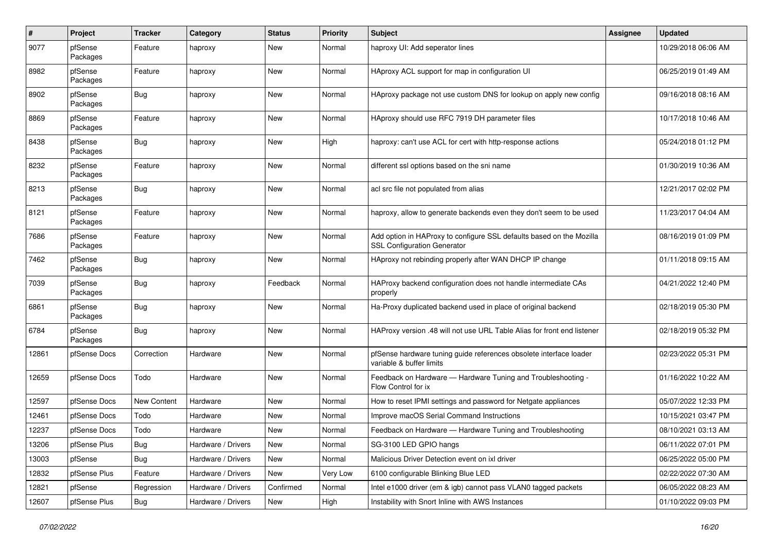| $\pmb{\#}$ | Project             | <b>Tracker</b>     | Category           | <b>Status</b> | <b>Priority</b> | Subject                                                                                                    | <b>Assignee</b> | <b>Updated</b>      |
|------------|---------------------|--------------------|--------------------|---------------|-----------------|------------------------------------------------------------------------------------------------------------|-----------------|---------------------|
| 9077       | pfSense<br>Packages | Feature            | haproxy            | New           | Normal          | haproxy UI: Add seperator lines                                                                            |                 | 10/29/2018 06:06 AM |
| 8982       | pfSense<br>Packages | Feature            | haproxy            | New           | Normal          | HAproxy ACL support for map in configuration UI                                                            |                 | 06/25/2019 01:49 AM |
| 8902       | pfSense<br>Packages | Bug                | haproxy            | <b>New</b>    | Normal          | HAproxy package not use custom DNS for lookup on apply new config                                          |                 | 09/16/2018 08:16 AM |
| 8869       | pfSense<br>Packages | Feature            | haproxy            | New           | Normal          | HAproxy should use RFC 7919 DH parameter files                                                             |                 | 10/17/2018 10:46 AM |
| 8438       | pfSense<br>Packages | Bug                | haproxy            | <b>New</b>    | High            | haproxy: can't use ACL for cert with http-response actions                                                 |                 | 05/24/2018 01:12 PM |
| 8232       | pfSense<br>Packages | Feature            | haproxy            | New           | Normal          | different ssl options based on the sni name                                                                |                 | 01/30/2019 10:36 AM |
| 8213       | pfSense<br>Packages | Bug                | haproxy            | New           | Normal          | acl src file not populated from alias                                                                      |                 | 12/21/2017 02:02 PM |
| 8121       | pfSense<br>Packages | Feature            | haproxy            | New           | Normal          | haproxy, allow to generate backends even they don't seem to be used                                        |                 | 11/23/2017 04:04 AM |
| 7686       | pfSense<br>Packages | Feature            | haproxy            | New           | Normal          | Add option in HAProxy to configure SSL defaults based on the Mozilla<br><b>SSL Configuration Generator</b> |                 | 08/16/2019 01:09 PM |
| 7462       | pfSense<br>Packages | Bug                | haproxy            | <b>New</b>    | Normal          | HAproxy not rebinding properly after WAN DHCP IP change                                                    |                 | 01/11/2018 09:15 AM |
| 7039       | pfSense<br>Packages | Bug                | haproxy            | Feedback      | Normal          | HAProxy backend configuration does not handle intermediate CAs<br>properly                                 |                 | 04/21/2022 12:40 PM |
| 6861       | pfSense<br>Packages | Bug                | haproxy            | New           | Normal          | Ha-Proxy duplicated backend used in place of original backend                                              |                 | 02/18/2019 05:30 PM |
| 6784       | pfSense<br>Packages | Bug                | haproxy            | <b>New</b>    | Normal          | HAProxy version .48 will not use URL Table Alias for front end listener                                    |                 | 02/18/2019 05:32 PM |
| 12861      | pfSense Docs        | Correction         | Hardware           | <b>New</b>    | Normal          | pfSense hardware tuning guide references obsolete interface loader<br>variable & buffer limits             |                 | 02/23/2022 05:31 PM |
| 12659      | pfSense Docs        | Todo               | Hardware           | New           | Normal          | Feedback on Hardware — Hardware Tuning and Troubleshooting -<br>Flow Control for ix                        |                 | 01/16/2022 10:22 AM |
| 12597      | pfSense Docs        | <b>New Content</b> | Hardware           | <b>New</b>    | Normal          | How to reset IPMI settings and password for Netgate appliances                                             |                 | 05/07/2022 12:33 PM |
| 12461      | pfSense Docs        | Todo               | Hardware           | New           | Normal          | Improve macOS Serial Command Instructions                                                                  |                 | 10/15/2021 03:47 PM |
| 12237      | pfSense Docs        | Todo               | Hardware           | New           | Normal          | Feedback on Hardware - Hardware Tuning and Troubleshooting                                                 |                 | 08/10/2021 03:13 AM |
| 13206      | pfSense Plus        | <b>Bug</b>         | Hardware / Drivers | New           | Normal          | SG-3100 LED GPIO hangs                                                                                     |                 | 06/11/2022 07:01 PM |
| 13003      | pfSense             | Bug                | Hardware / Drivers | New           | Normal          | Malicious Driver Detection event on ixl driver                                                             |                 | 06/25/2022 05:00 PM |
| 12832      | pfSense Plus        | Feature            | Hardware / Drivers | New           | Very Low        | 6100 configurable Blinking Blue LED                                                                        |                 | 02/22/2022 07:30 AM |
| 12821      | pfSense             | Regression         | Hardware / Drivers | Confirmed     | Normal          | Intel e1000 driver (em & igb) cannot pass VLAN0 tagged packets                                             |                 | 06/05/2022 08:23 AM |
| 12607      | pfSense Plus        | <b>Bug</b>         | Hardware / Drivers | New           | High            | Instability with Snort Inline with AWS Instances                                                           |                 | 01/10/2022 09:03 PM |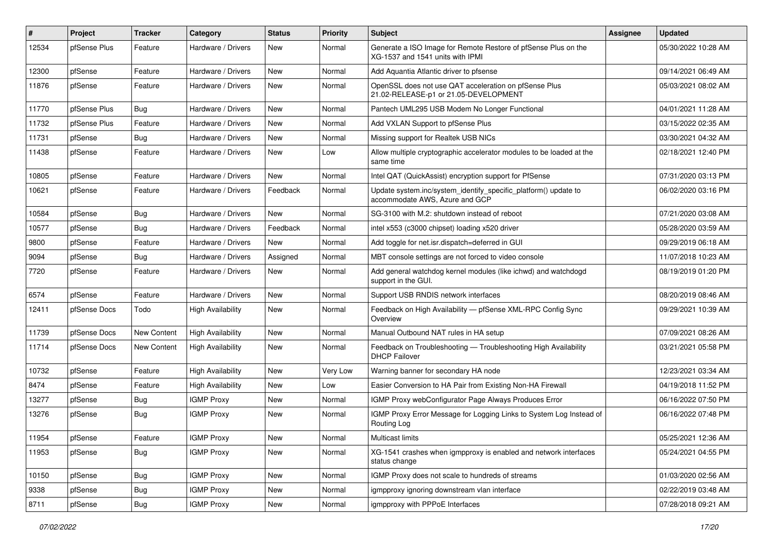| $\vert$ # | Project      | <b>Tracker</b>     | Category                 | <b>Status</b> | <b>Priority</b> | <b>Subject</b>                                                                                     | Assignee | <b>Updated</b>      |
|-----------|--------------|--------------------|--------------------------|---------------|-----------------|----------------------------------------------------------------------------------------------------|----------|---------------------|
| 12534     | pfSense Plus | Feature            | Hardware / Drivers       | New           | Normal          | Generate a ISO Image for Remote Restore of pfSense Plus on the<br>XG-1537 and 1541 units with IPMI |          | 05/30/2022 10:28 AM |
| 12300     | pfSense      | Feature            | Hardware / Drivers       | New           | Normal          | Add Aquantia Atlantic driver to pfsense                                                            |          | 09/14/2021 06:49 AM |
| 11876     | pfSense      | Feature            | Hardware / Drivers       | New           | Normal          | OpenSSL does not use QAT acceleration on pfSense Plus<br>21.02-RELEASE-p1 or 21.05-DEVELOPMENT     |          | 05/03/2021 08:02 AM |
| 11770     | pfSense Plus | Bug                | Hardware / Drivers       | New           | Normal          | Pantech UML295 USB Modem No Longer Functional                                                      |          | 04/01/2021 11:28 AM |
| 11732     | pfSense Plus | Feature            | Hardware / Drivers       | New           | Normal          | Add VXLAN Support to pfSense Plus                                                                  |          | 03/15/2022 02:35 AM |
| 11731     | pfSense      | Bug                | Hardware / Drivers       | New           | Normal          | Missing support for Realtek USB NICs                                                               |          | 03/30/2021 04:32 AM |
| 11438     | pfSense      | Feature            | Hardware / Drivers       | New           | Low             | Allow multiple cryptographic accelerator modules to be loaded at the<br>same time                  |          | 02/18/2021 12:40 PM |
| 10805     | pfSense      | Feature            | Hardware / Drivers       | New           | Normal          | Intel QAT (QuickAssist) encryption support for PfSense                                             |          | 07/31/2020 03:13 PM |
| 10621     | pfSense      | Feature            | Hardware / Drivers       | Feedback      | Normal          | Update system.inc/system_identify_specific_platform() update to<br>accommodate AWS, Azure and GCP  |          | 06/02/2020 03:16 PM |
| 10584     | pfSense      | Bug                | Hardware / Drivers       | <b>New</b>    | Normal          | SG-3100 with M.2: shutdown instead of reboot                                                       |          | 07/21/2020 03:08 AM |
| 10577     | pfSense      | <b>Bug</b>         | Hardware / Drivers       | Feedback      | Normal          | intel x553 (c3000 chipset) loading x520 driver                                                     |          | 05/28/2020 03:59 AM |
| 9800      | pfSense      | Feature            | Hardware / Drivers       | <b>New</b>    | Normal          | Add toggle for net.isr.dispatch=deferred in GUI                                                    |          | 09/29/2019 06:18 AM |
| 9094      | pfSense      | Bug                | Hardware / Drivers       | Assigned      | Normal          | MBT console settings are not forced to video console                                               |          | 11/07/2018 10:23 AM |
| 7720      | pfSense      | Feature            | Hardware / Drivers       | New           | Normal          | Add general watchdog kernel modules (like ichwd) and watchdogd<br>support in the GUI.              |          | 08/19/2019 01:20 PM |
| 6574      | pfSense      | Feature            | Hardware / Drivers       | New           | Normal          | Support USB RNDIS network interfaces                                                               |          | 08/20/2019 08:46 AM |
| 12411     | pfSense Docs | Todo               | <b>High Availability</b> | New           | Normal          | Feedback on High Availability - pfSense XML-RPC Config Sync<br>Overview                            |          | 09/29/2021 10:39 AM |
| 11739     | pfSense Docs | New Content        | <b>High Availability</b> | <b>New</b>    | Normal          | Manual Outbound NAT rules in HA setup                                                              |          | 07/09/2021 08:26 AM |
| 11714     | pfSense Docs | <b>New Content</b> | <b>High Availability</b> | <b>New</b>    | Normal          | Feedback on Troubleshooting - Troubleshooting High Availability<br><b>DHCP Failover</b>            |          | 03/21/2021 05:58 PM |
| 10732     | pfSense      | Feature            | <b>High Availability</b> | New           | Very Low        | Warning banner for secondary HA node                                                               |          | 12/23/2021 03:34 AM |
| 8474      | pfSense      | Feature            | <b>High Availability</b> | New           | Low             | Easier Conversion to HA Pair from Existing Non-HA Firewall                                         |          | 04/19/2018 11:52 PM |
| 13277     | pfSense      | <b>Bug</b>         | <b>IGMP Proxy</b>        | New           | Normal          | IGMP Proxy webConfigurator Page Always Produces Error                                              |          | 06/16/2022 07:50 PM |
| 13276     | pfSense      | Bug                | <b>IGMP Proxy</b>        | New           | Normal          | IGMP Proxy Error Message for Logging Links to System Log Instead of<br>Routing Log                 |          | 06/16/2022 07:48 PM |
| 11954     | pfSense      | Feature            | <b>IGMP Proxy</b>        | New           | Normal          | Multicast limits                                                                                   |          | 05/25/2021 12:36 AM |
| 11953     | pfSense      | <b>Bug</b>         | <b>IGMP Proxy</b>        | New           | Normal          | XG-1541 crashes when igmpproxy is enabled and network interfaces<br>status change                  |          | 05/24/2021 04:55 PM |
| 10150     | pfSense      | Bug                | <b>IGMP Proxy</b>        | New           | Normal          | IGMP Proxy does not scale to hundreds of streams                                                   |          | 01/03/2020 02:56 AM |
| 9338      | pfSense      | <b>Bug</b>         | <b>IGMP Proxy</b>        | New           | Normal          | igmpproxy ignoring downstream vlan interface                                                       |          | 02/22/2019 03:48 AM |
| 8711      | pfSense      | Bug                | <b>IGMP Proxy</b>        | New           | Normal          | igmpproxy with PPPoE Interfaces                                                                    |          | 07/28/2018 09:21 AM |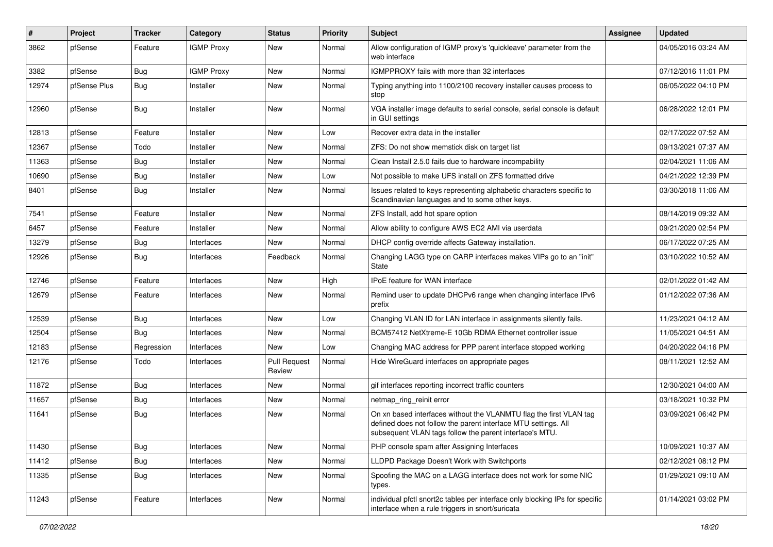| #     | Project      | <b>Tracker</b> | Category          | <b>Status</b>                 | <b>Priority</b> | <b>Subject</b>                                                                                                                                                                                  | <b>Assignee</b> | <b>Updated</b>      |
|-------|--------------|----------------|-------------------|-------------------------------|-----------------|-------------------------------------------------------------------------------------------------------------------------------------------------------------------------------------------------|-----------------|---------------------|
| 3862  | pfSense      | Feature        | <b>IGMP Proxy</b> | New                           | Normal          | Allow configuration of IGMP proxy's 'quickleave' parameter from the<br>web interface                                                                                                            |                 | 04/05/2016 03:24 AM |
| 3382  | pfSense      | Bug            | <b>IGMP Proxy</b> | New                           | Normal          | IGMPPROXY fails with more than 32 interfaces                                                                                                                                                    |                 | 07/12/2016 11:01 PM |
| 12974 | pfSense Plus | <b>Bug</b>     | Installer         | New                           | Normal          | Typing anything into 1100/2100 recovery installer causes process to<br>stop                                                                                                                     |                 | 06/05/2022 04:10 PM |
| 12960 | pfSense      | Bug            | Installer         | New                           | Normal          | VGA installer image defaults to serial console, serial console is default<br>in GUI settings                                                                                                    |                 | 06/28/2022 12:01 PM |
| 12813 | pfSense      | Feature        | Installer         | New                           | Low             | Recover extra data in the installer                                                                                                                                                             |                 | 02/17/2022 07:52 AM |
| 12367 | pfSense      | Todo           | Installer         | New                           | Normal          | ZFS: Do not show memstick disk on target list                                                                                                                                                   |                 | 09/13/2021 07:37 AM |
| 11363 | pfSense      | <b>Bug</b>     | Installer         | <b>New</b>                    | Normal          | Clean Install 2.5.0 fails due to hardware incompability                                                                                                                                         |                 | 02/04/2021 11:06 AM |
| 10690 | pfSense      | Bug            | Installer         | New                           | Low             | Not possible to make UFS install on ZFS formatted drive                                                                                                                                         |                 | 04/21/2022 12:39 PM |
| 8401  | pfSense      | Bug            | Installer         | New                           | Normal          | Issues related to keys representing alphabetic characters specific to<br>Scandinavian languages and to some other keys.                                                                         |                 | 03/30/2018 11:06 AM |
| 7541  | pfSense      | Feature        | Installer         | <b>New</b>                    | Normal          | ZFS Install, add hot spare option                                                                                                                                                               |                 | 08/14/2019 09:32 AM |
| 6457  | pfSense      | Feature        | Installer         | New                           | Normal          | Allow ability to configure AWS EC2 AMI via userdata                                                                                                                                             |                 | 09/21/2020 02:54 PM |
| 13279 | pfSense      | <b>Bug</b>     | Interfaces        | New                           | Normal          | DHCP config override affects Gateway installation.                                                                                                                                              |                 | 06/17/2022 07:25 AM |
| 12926 | pfSense      | <b>Bug</b>     | Interfaces        | Feedback                      | Normal          | Changing LAGG type on CARP interfaces makes VIPs go to an "init"<br>State                                                                                                                       |                 | 03/10/2022 10:52 AM |
| 12746 | pfSense      | Feature        | Interfaces        | <b>New</b>                    | High            | <b>IPoE</b> feature for WAN interface                                                                                                                                                           |                 | 02/01/2022 01:42 AM |
| 12679 | pfSense      | Feature        | Interfaces        | New                           | Normal          | Remind user to update DHCPv6 range when changing interface IPv6<br>prefix                                                                                                                       |                 | 01/12/2022 07:36 AM |
| 12539 | pfSense      | <b>Bug</b>     | Interfaces        | New                           | Low             | Changing VLAN ID for LAN interface in assignments silently fails.                                                                                                                               |                 | 11/23/2021 04:12 AM |
| 12504 | pfSense      | Bug            | Interfaces        | New                           | Normal          | BCM57412 NetXtreme-E 10Gb RDMA Ethernet controller issue                                                                                                                                        |                 | 11/05/2021 04:51 AM |
| 12183 | pfSense      | Regression     | Interfaces        | New                           | Low             | Changing MAC address for PPP parent interface stopped working                                                                                                                                   |                 | 04/20/2022 04:16 PM |
| 12176 | pfSense      | Todo           | Interfaces        | <b>Pull Request</b><br>Review | Normal          | Hide WireGuard interfaces on appropriate pages                                                                                                                                                  |                 | 08/11/2021 12:52 AM |
| 11872 | pfSense      | <b>Bug</b>     | Interfaces        | New                           | Normal          | gif interfaces reporting incorrect traffic counters                                                                                                                                             |                 | 12/30/2021 04:00 AM |
| 11657 | pfSense      | <b>Bug</b>     | Interfaces        | New                           | Normal          | netmap_ring_reinit error                                                                                                                                                                        |                 | 03/18/2021 10:32 PM |
| 11641 | pfSense      | <b>Bug</b>     | Interfaces        | New                           | Normal          | On xn based interfaces without the VLANMTU flag the first VLAN tag<br>defined does not follow the parent interface MTU settings. All<br>subsequent VLAN tags follow the parent interface's MTU. |                 | 03/09/2021 06:42 PM |
| 11430 | pfSense      | <b>Bug</b>     | Interfaces        | <b>New</b>                    | Normal          | PHP console spam after Assigning Interfaces                                                                                                                                                     |                 | 10/09/2021 10:37 AM |
| 11412 | pfSense      | <b>Bug</b>     | Interfaces        | New                           | Normal          | LLDPD Package Doesn't Work with Switchports                                                                                                                                                     |                 | 02/12/2021 08:12 PM |
| 11335 | pfSense      | Bug            | Interfaces        | New                           | Normal          | Spoofing the MAC on a LAGG interface does not work for some NIC<br>types.                                                                                                                       |                 | 01/29/2021 09:10 AM |
| 11243 | pfSense      | Feature        | Interfaces        | New                           | Normal          | individual pfctl snort2c tables per interface only blocking IPs for specific<br>interface when a rule triggers in snort/suricata                                                                |                 | 01/14/2021 03:02 PM |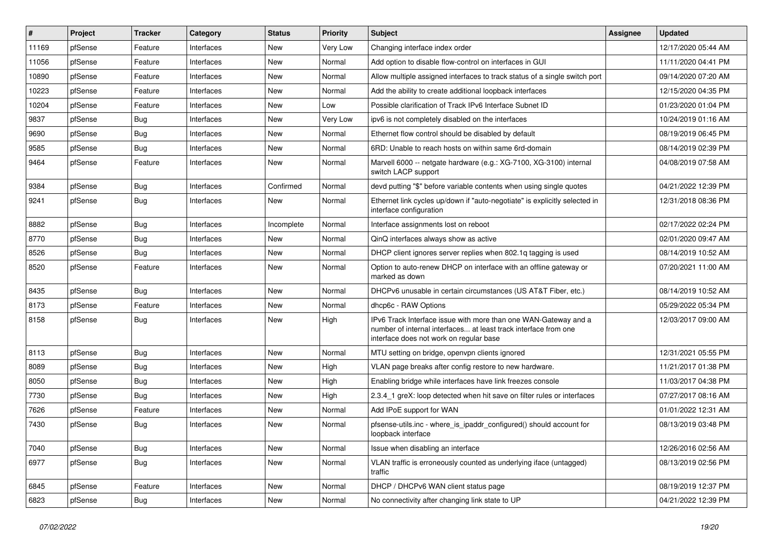| $\vert$ # | Project | <b>Tracker</b> | Category   | <b>Status</b> | Priority | Subject                                                                                                                                                                       | <b>Assignee</b> | <b>Updated</b>      |
|-----------|---------|----------------|------------|---------------|----------|-------------------------------------------------------------------------------------------------------------------------------------------------------------------------------|-----------------|---------------------|
| 11169     | pfSense | Feature        | Interfaces | New           | Very Low | Changing interface index order                                                                                                                                                |                 | 12/17/2020 05:44 AM |
| 11056     | pfSense | Feature        | Interfaces | <b>New</b>    | Normal   | Add option to disable flow-control on interfaces in GUI                                                                                                                       |                 | 11/11/2020 04:41 PM |
| 10890     | pfSense | Feature        | Interfaces | New           | Normal   | Allow multiple assigned interfaces to track status of a single switch port                                                                                                    |                 | 09/14/2020 07:20 AM |
| 10223     | pfSense | Feature        | Interfaces | New           | Normal   | Add the ability to create additional loopback interfaces                                                                                                                      |                 | 12/15/2020 04:35 PM |
| 10204     | pfSense | Feature        | Interfaces | New           | Low      | Possible clarification of Track IPv6 Interface Subnet ID                                                                                                                      |                 | 01/23/2020 01:04 PM |
| 9837      | pfSense | Bug            | Interfaces | New           | Very Low | ipv6 is not completely disabled on the interfaces                                                                                                                             |                 | 10/24/2019 01:16 AM |
| 9690      | pfSense | Bug            | Interfaces | New           | Normal   | Ethernet flow control should be disabled by default                                                                                                                           |                 | 08/19/2019 06:45 PM |
| 9585      | pfSense | Bug            | Interfaces | New           | Normal   | 6RD: Unable to reach hosts on within same 6rd-domain                                                                                                                          |                 | 08/14/2019 02:39 PM |
| 9464      | pfSense | Feature        | Interfaces | New           | Normal   | Marvell 6000 -- netgate hardware (e.g.: XG-7100, XG-3100) internal<br>switch LACP support                                                                                     |                 | 04/08/2019 07:58 AM |
| 9384      | pfSense | Bug            | Interfaces | Confirmed     | Normal   | devd putting "\$" before variable contents when using single quotes                                                                                                           |                 | 04/21/2022 12:39 PM |
| 9241      | pfSense | <b>Bug</b>     | Interfaces | New           | Normal   | Ethernet link cycles up/down if "auto-negotiate" is explicitly selected in<br>interface configuration                                                                         |                 | 12/31/2018 08:36 PM |
| 8882      | pfSense | Bug            | Interfaces | Incomplete    | Normal   | Interface assignments lost on reboot                                                                                                                                          |                 | 02/17/2022 02:24 PM |
| 8770      | pfSense | Bug            | Interfaces | New           | Normal   | QinQ interfaces always show as active                                                                                                                                         |                 | 02/01/2020 09:47 AM |
| 8526      | pfSense | Bug            | Interfaces | <b>New</b>    | Normal   | DHCP client ignores server replies when 802.1q tagging is used                                                                                                                |                 | 08/14/2019 10:52 AM |
| 8520      | pfSense | Feature        | Interfaces | New           | Normal   | Option to auto-renew DHCP on interface with an offline gateway or<br>marked as down                                                                                           |                 | 07/20/2021 11:00 AM |
| 8435      | pfSense | Bug            | Interfaces | <b>New</b>    | Normal   | DHCPv6 unusable in certain circumstances (US AT&T Fiber, etc.)                                                                                                                |                 | 08/14/2019 10:52 AM |
| 8173      | pfSense | Feature        | Interfaces | New           | Normal   | dhcp6c - RAW Options                                                                                                                                                          |                 | 05/29/2022 05:34 PM |
| 8158      | pfSense | Bug            | Interfaces | <b>New</b>    | High     | IPv6 Track Interface issue with more than one WAN-Gateway and a<br>number of internal interfaces at least track interface from one<br>interface does not work on regular base |                 | 12/03/2017 09:00 AM |
| 8113      | pfSense | Bug            | Interfaces | <b>New</b>    | Normal   | MTU setting on bridge, openvpn clients ignored                                                                                                                                |                 | 12/31/2021 05:55 PM |
| 8089      | pfSense | Bug            | Interfaces | New           | High     | VLAN page breaks after config restore to new hardware.                                                                                                                        |                 | 11/21/2017 01:38 PM |
| 8050      | pfSense | Bug            | Interfaces | New           | High     | Enabling bridge while interfaces have link freezes console                                                                                                                    |                 | 11/03/2017 04:38 PM |
| 7730      | pfSense | Bug            | Interfaces | New           | High     | 2.3.4_1 greX: loop detected when hit save on filter rules or interfaces                                                                                                       |                 | 07/27/2017 08:16 AM |
| 7626      | pfSense | Feature        | Interfaces | <b>New</b>    | Normal   | Add IPoE support for WAN                                                                                                                                                      |                 | 01/01/2022 12:31 AM |
| 7430      | pfSense | <b>Bug</b>     | Interfaces | New           | Normal   | pfsense-utils.inc - where is ipaddr configured() should account for<br>loopback interface                                                                                     |                 | 08/13/2019 03:48 PM |
| 7040      | pfSense | <b>Bug</b>     | Interfaces | New           | Normal   | Issue when disabling an interface                                                                                                                                             |                 | 12/26/2016 02:56 AM |
| 6977      | pfSense | <b>Bug</b>     | Interfaces | New           | Normal   | VLAN traffic is erroneously counted as underlying iface (untagged)<br>traffic                                                                                                 |                 | 08/13/2019 02:56 PM |
| 6845      | pfSense | Feature        | Interfaces | New           | Normal   | DHCP / DHCPv6 WAN client status page                                                                                                                                          |                 | 08/19/2019 12:37 PM |
| 6823      | pfSense | Bug            | Interfaces | New           | Normal   | No connectivity after changing link state to UP                                                                                                                               |                 | 04/21/2022 12:39 PM |